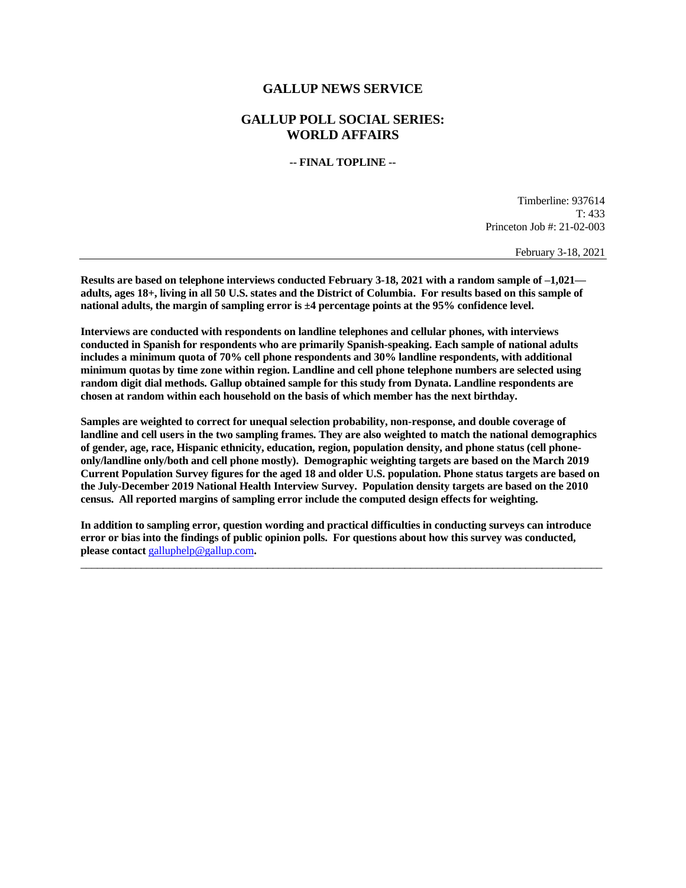## **GALLUP NEWS SERVICE**

## **GALLUP POLL SOCIAL SERIES: WORLD AFFAIRS**

**-- FINAL TOPLINE --**

Timberline: 937614 T: 433 Princeton Job #: 21-02-003

February 3-18, 2021

**Results are based on telephone interviews conducted February 3-18, 2021 with a random sample of –1,021 adults, ages 18+, living in all 50 U.S. states and the District of Columbia. For results based on this sample of national adults, the margin of sampling error is ±4 percentage points at the 95% confidence level.** 

**Interviews are conducted with respondents on landline telephones and cellular phones, with interviews conducted in Spanish for respondents who are primarily Spanish-speaking. Each sample of national adults includes a minimum quota of 70% cell phone respondents and 30% landline respondents, with additional minimum quotas by time zone within region. Landline and cell phone telephone numbers are selected using random digit dial methods. Gallup obtained sample for this study from Dynata. Landline respondents are chosen at random within each household on the basis of which member has the next birthday.**

**Samples are weighted to correct for unequal selection probability, non-response, and double coverage of landline and cell users in the two sampling frames. They are also weighted to match the national demographics of gender, age, race, Hispanic ethnicity, education, region, population density, and phone status (cell phoneonly/landline only/both and cell phone mostly). Demographic weighting targets are based on the March 2019 Current Population Survey figures for the aged 18 and older U.S. population. Phone status targets are based on the July-December 2019 National Health Interview Survey. Population density targets are based on the 2010 census. All reported margins of sampling error include the computed design effects for weighting.** 

**In addition to sampling error, question wording and practical difficulties in conducting surveys can introduce error or bias into the findings of public opinion polls. For questions about how this survey was conducted, please contact** [galluphelp@gallup.com](mailto:galluphelp@gallup.com)**.**

 $\overline{\phantom{a}}$  ,  $\overline{\phantom{a}}$  ,  $\overline{\phantom{a}}$  ,  $\overline{\phantom{a}}$  ,  $\overline{\phantom{a}}$  ,  $\overline{\phantom{a}}$  ,  $\overline{\phantom{a}}$  ,  $\overline{\phantom{a}}$  ,  $\overline{\phantom{a}}$  ,  $\overline{\phantom{a}}$  ,  $\overline{\phantom{a}}$  ,  $\overline{\phantom{a}}$  ,  $\overline{\phantom{a}}$  ,  $\overline{\phantom{a}}$  ,  $\overline{\phantom{a}}$  ,  $\overline{\phantom{a}}$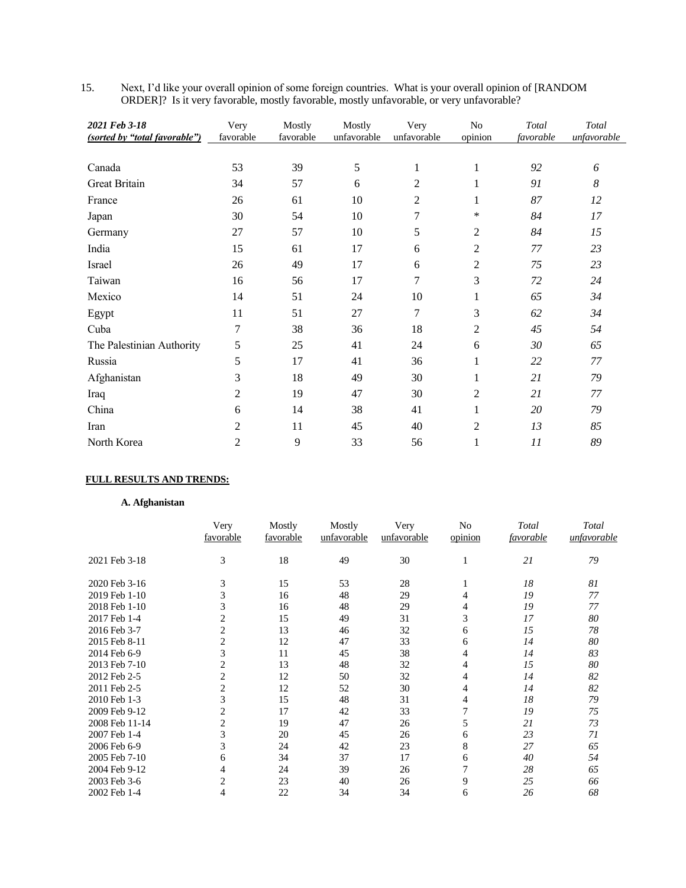| Next, I'd like your overall opinion of some foreign countries. What is your overall opinion of [RANDOM] |
|---------------------------------------------------------------------------------------------------------|
| ORDER]? Is it very favorable, mostly favorable, mostly unfavorable, or very unfavorable?                |

| 2021 Feb 3-18<br>(sorted by "total favorable") | Very<br>favorable | Mostly<br>favorable | Mostly<br>unfavorable | Very<br>unfavorable | No<br>opinion  | Total<br>favorable | Total<br>unfavorable |
|------------------------------------------------|-------------------|---------------------|-----------------------|---------------------|----------------|--------------------|----------------------|
|                                                |                   |                     |                       |                     |                |                    |                      |
| Canada                                         | 53                | 39                  | 5                     | 1                   | $\mathbf{1}$   | 92                 | 6                    |
| Great Britain                                  | 34                | 57                  | 6                     | $\overline{c}$      |                | 91                 | 8                    |
| France                                         | 26                | 61                  | 10                    | 2                   |                | 87                 | 12                   |
| Japan                                          | 30                | 54                  | 10                    | 7                   | *              | 84                 | 17                   |
| Germany                                        | 27                | 57                  | 10                    | 5                   | 2              | 84                 | 15                   |
| India                                          | 15                | 61                  | 17                    | 6                   | $\overline{c}$ | 77                 | 23                   |
| Israel                                         | 26                | 49                  | 17                    | 6                   | $\overline{c}$ | 75                 | 23                   |
| Taiwan                                         | 16                | 56                  | 17                    | 7                   | 3              | 72                 | 24                   |
| Mexico                                         | 14                | 51                  | 24                    | 10                  | 1              | 65                 | 34                   |
| Egypt                                          | 11                | 51                  | 27                    | 7                   | 3              | 62                 | 34                   |
| Cuba                                           | $\tau$            | 38                  | 36                    | 18                  | $\overline{c}$ | 45                 | 54                   |
| The Palestinian Authority                      | 5                 | 25                  | 41                    | 24                  | 6              | 30                 | 65                   |
| Russia                                         | 5                 | 17                  | 41                    | 36                  | 1              | 22                 | 77                   |
| Afghanistan                                    | 3                 | 18                  | 49                    | 30                  |                | 21                 | 79                   |
| Iraq                                           | $\overline{c}$    | 19                  | 47                    | 30                  | $\overline{c}$ | 21                 | 77                   |
| China                                          | 6                 | 14                  | 38                    | 41                  | 1              | $20\,$             | 79                   |
| Iran                                           | $\overline{2}$    | 11                  | 45                    | 40                  | $\overline{c}$ | 13                 | 85                   |
| North Korea                                    | 2                 | 9                   | 33                    | 56                  | 1              | 11                 | 89                   |

# **FULL RESULTS AND TRENDS:**

## **A. Afghanistan**

|                | Very<br>favorable | Mostly<br>favorable | Mostly<br>unfavorable | Very<br>unfavorable | No<br>opinion | Total<br>favorable | Total<br>unfavorable |
|----------------|-------------------|---------------------|-----------------------|---------------------|---------------|--------------------|----------------------|
| 2021 Feb 3-18  | 3                 | 18                  | 49                    | 30                  | 1             | 21                 | 79                   |
| 2020 Feb 3-16  | 3                 | 15                  | 53                    | 28                  |               | 18                 | 81                   |
| 2019 Feb 1-10  | 3                 | 16                  | 48                    | 29                  | 4             | 19                 | 77                   |
| 2018 Feb 1-10  | 3                 | 16                  | 48                    | 29                  | 4             | 19                 | 77                   |
| 2017 Feb 1-4   | 2                 | 15                  | 49                    | 31                  | 3             | 17                 | 80                   |
| 2016 Feb 3-7   | 2                 | 13                  | 46                    | 32                  | 6             | 15                 | 78                   |
| 2015 Feb 8-11  | $\overline{2}$    | 12                  | 47                    | 33                  | 6             | 14                 | 80                   |
| 2014 Feb 6-9   | 3                 | 11                  | 45                    | 38                  | 4             | 14                 | 83                   |
| 2013 Feb 7-10  | $\overline{c}$    | 13                  | 48                    | 32                  | 4             | 15                 | 80                   |
| 2012 Feb 2-5   | $\overline{c}$    | 12                  | 50                    | 32                  | 4             | 14                 | 82                   |
| 2011 Feb 2-5   | 2                 | 12                  | 52                    | 30                  | 4             | 14                 | 82                   |
| 2010 Feb 1-3   | 3                 | 15                  | 48                    | 31                  | 4             | 18                 | 79                   |
| 2009 Feb 9-12  | 2                 | 17                  | 42                    | 33                  | 7             | 19                 | 75                   |
| 2008 Feb 11-14 | $\overline{2}$    | 19                  | 47                    | 26                  | 5             | 21                 | 73                   |
| 2007 Feb 1-4   | 3                 | 20                  | 45                    | 26                  | 6             | 23                 | 71                   |
| 2006 Feb 6-9   | 3                 | 24                  | 42                    | 23                  | 8             | 27                 | 65                   |
| 2005 Feb 7-10  | 6                 | 34                  | 37                    | 17                  | 6             | 40                 | 54                   |
| 2004 Feb 9-12  | 4                 | 24                  | 39                    | 26                  | 7             | 28                 | 65                   |
| 2003 Feb 3-6   | 2                 | 23                  | 40                    | 26                  | 9             | 25                 | 66                   |
| 2002 Feb 1-4   | 4                 | 22                  | 34                    | 34                  | 6             | 26                 | 68                   |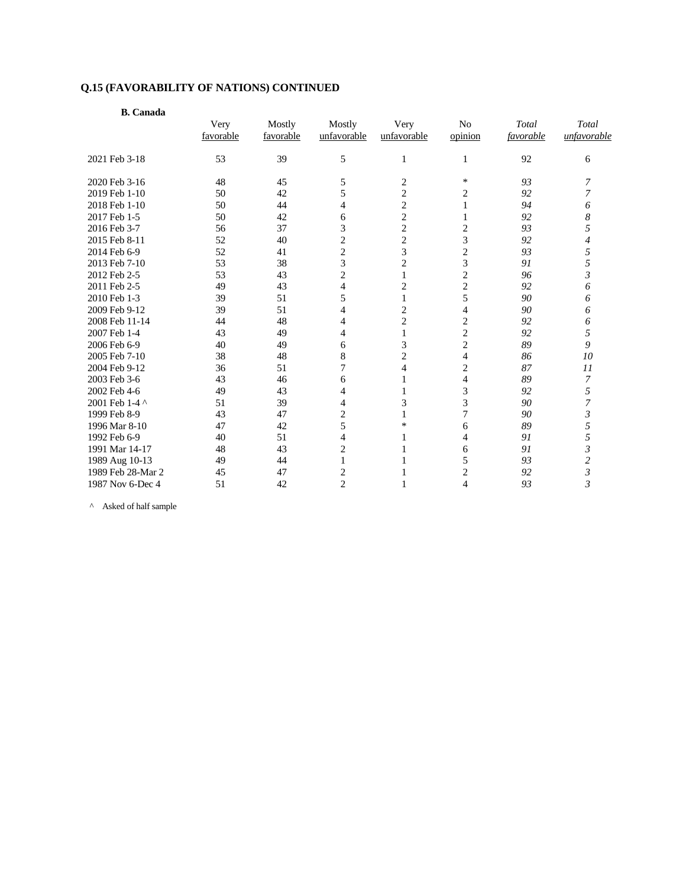| <b>B.</b> Canada  |                   |                     |                         |                     |                           |                    |                      |
|-------------------|-------------------|---------------------|-------------------------|---------------------|---------------------------|--------------------|----------------------|
|                   | Very<br>favorable | Mostly<br>favorable | Mostly<br>unfavorable   | Very<br>unfavorable | N <sub>o</sub><br>opinion | Total<br>favorable | Total<br>unfavorable |
| 2021 Feb 3-18     | 53                | 39                  | 5                       | 1                   | 1                         | 92                 | 6                    |
|                   |                   |                     |                         |                     |                           |                    |                      |
| 2020 Feb 3-16     | 48                | 45                  | 5                       | 2                   | *                         | 93                 | 7                    |
| 2019 Feb 1-10     | 50                | 42                  | 5                       | $\overline{c}$      | 2                         | 92                 | 7                    |
| 2018 Feb 1-10     | 50                | 44                  | $\overline{4}$          | $\overline{c}$      | 1                         | 94                 | 6                    |
| 2017 Feb 1-5      | 50                | 42                  | 6                       | $\overline{c}$      | 1                         | 92                 | 8                    |
| 2016 Feb 3-7      | 56                | 37                  | 3                       | $\overline{2}$      | $\overline{2}$            | 93                 | 5                    |
| 2015 Feb 8-11     | 52                | 40                  | $\overline{c}$          | $\overline{c}$      | 3                         | 92                 | 4                    |
| 2014 Feb 6-9      | 52                | 41                  | $\overline{c}$          | 3                   | $\overline{c}$            | 93                 | 5                    |
| 2013 Feb 7-10     | 53                | 38                  | 3                       | 2                   | 3                         | 91                 | 5                    |
| 2012 Feb 2-5      | 53                | 43                  | $\overline{2}$          | 1                   | $\overline{2}$            | 96                 | 3                    |
| 2011 Feb 2-5      | 49                | 43                  | 4                       | 2                   | $\overline{c}$            | 92                 | 6                    |
| 2010 Feb 1-3      | 39                | 51                  | 5                       | 1                   | 5                         | 90                 | 6                    |
| 2009 Feb 9-12     | 39                | 51                  | 4                       | 2                   | $\overline{4}$            | 90                 | 6                    |
| 2008 Feb 11-14    | 44                | 48                  | 4                       | $\overline{2}$      | $\overline{2}$            | 92                 | 6                    |
| 2007 Feb 1-4      | 43                | 49                  | 4                       | 1                   | $\overline{c}$            | 92                 | 5                    |
| 2006 Feb 6-9      | 40                | 49                  | 6                       | 3                   | $\mathbf{2}$              | 89                 | 9                    |
| 2005 Feb 7-10     | 38                | 48                  | 8                       | $\overline{c}$      | $\overline{4}$            | 86                 | 10                   |
| 2004 Feb 9-12     | 36                | 51                  | 7                       | 4                   | $\mathbf{2}$              | 87                 | $_{11}$              |
| 2003 Feb 3-6      | 43                | 46                  | 6                       |                     | $\overline{4}$            | 89                 | 7                    |
| 2002 Feb 4-6      | 49                | 43                  | 4                       | $\mathbf{1}$        | 3                         | 92                 | 5                    |
| 2001 Feb 1-4 ^    | 51                | 39                  | $\overline{4}$          | 3                   | 3                         | 90                 | 7                    |
| 1999 Feb 8-9      | 43                | 47                  | $\overline{2}$          | $\mathbf{1}$        | $\overline{7}$            | 90                 | $\mathfrak{Z}$       |
| 1996 Mar 8-10     | 47                | 42                  | 5                       | $\ast$              | 6                         | 89                 | 5                    |
| 1992 Feb 6-9      | 40                | 51                  | $\overline{4}$          |                     | 4                         | 91                 | 5                    |
| 1991 Mar 14-17    | 48                | 43                  | $\overline{2}$          |                     | 6                         | 91                 | 3                    |
| 1989 Aug 10-13    | 49                | 44                  | 1                       |                     | 5                         | 93                 | $\overline{c}$       |
| 1989 Feb 28-Mar 2 | 45                | 47                  | $\overline{\mathbf{c}}$ |                     | $\overline{c}$            | 92                 | $\mathfrak{Z}$       |
| 1987 Nov 6-Dec 4  | 51                | 42                  | $\overline{2}$          |                     | $\overline{\mathcal{L}}$  | 93                 | 3                    |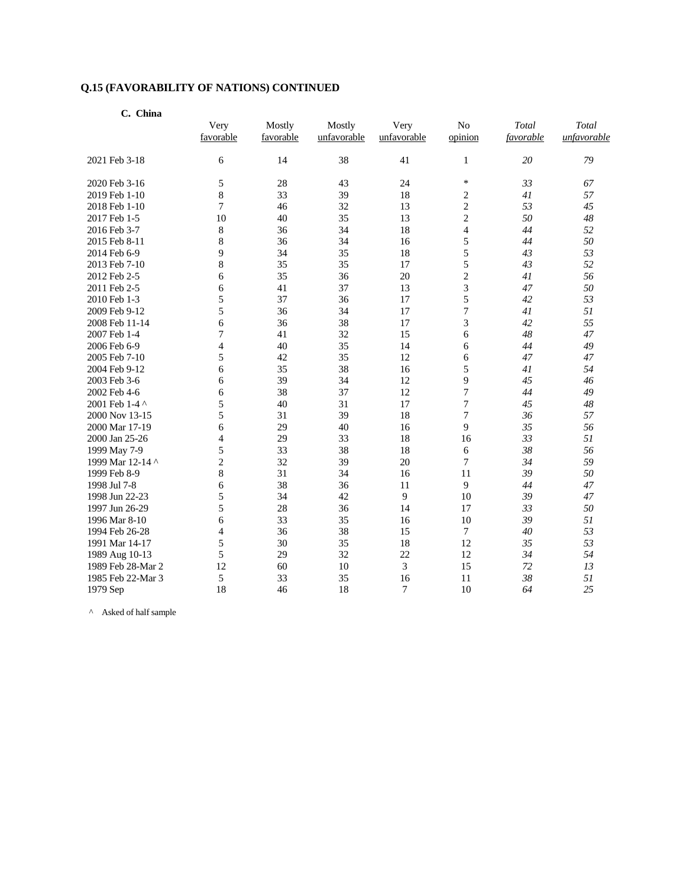| C. China          |           |           |             |             |                |           |             |
|-------------------|-----------|-----------|-------------|-------------|----------------|-----------|-------------|
|                   | Very      | Mostly    | Mostly      | Very        | No             | Total     | Total       |
|                   | favorable | favorable | unfavorable | unfavorable | opinion        | favorable | unfavorable |
| 2021 Feb 3-18     | 6         | 14        | 38          | 41          | $\mathbf{1}$   | 20        | 79          |
| 2020 Feb 3-16     | 5         | 28        | 43          | 24          | $\ast$         | 33        | 67          |
| 2019 Feb 1-10     | 8         | 33        | 39          | 18          | $\overline{c}$ | 41        | 57          |
| 2018 Feb 1-10     | 7         | 46        | 32          | 13          | $\overline{c}$ | 53        | 45          |
| 2017 Feb 1-5      | 10        | 40        | 35          | 13          | $\overline{c}$ | 50        | 48          |
| 2016 Feb 3-7      | 8         | 36        | 34          | 18          | $\overline{4}$ | 44        | 52          |
| 2015 Feb 8-11     | 8         | 36        | 34          | 16          | 5              | 44        | 50          |
| 2014 Feb 6-9      | 9         | 34        | 35          | 18          | 5              | 43        | 53          |
| 2013 Feb 7-10     | 8         | 35        | 35          | 17          | 5              | 43        | 52          |
| 2012 Feb 2-5      | 6         | 35        | 36          | 20          | $\overline{c}$ | 41        | 56          |
| 2011 Feb 2-5      | 6         | 41        | 37          | 13          | 3              | 47        | 50          |
| 2010 Feb 1-3      | 5         | 37        | 36          | 17          | 5              | 42        | 53          |
| 2009 Feb 9-12     | 5         | 36        | 34          | 17          | 7              | 41        | 51          |
| 2008 Feb 11-14    | 6         | 36        | 38          | 17          | 3              | 42        | 55          |
| 2007 Feb 1-4      | 7         | 41        | 32          | 15          | 6              | 48        | 47          |
| 2006 Feb 6-9      | 4         | 40        | 35          | 14          | 6              | 44        | 49          |
| 2005 Feb 7-10     | 5         | 42        | 35          | 12          | 6              | 47        | 47          |
| 2004 Feb 9-12     | 6         | 35        | 38          | 16          | 5              | 41        | 54          |
| 2003 Feb 3-6      | 6         | 39        | 34          | 12          | 9              | 45        | 46          |
| 2002 Feb 4-6      | 6         | 38        | 37          | 12          | 7              | 44        | 49          |
| 2001 Feb 1-4 ^    | 5         | 40        | 31          | 17          | 7              | 45        | 48          |
| 2000 Nov 13-15    | 5         | 31        | 39          | 18          | $\overline{7}$ | 36        | 57          |
| 2000 Mar 17-19    | 6         | 29        | 40          | 16          | 9              | 35        | 56          |
| 2000 Jan 25-26    | 4         | 29        | 33          | 18          | 16             | 33        | 51          |
| 1999 May 7-9      | 5         | 33        | 38          | 18          | 6              | 38        | 56          |
| 1999 Mar 12-14 ^  | 2         | 32        | 39          | 20          | 7              | 34        | 59          |
| 1999 Feb 8-9      | 8         | 31        | 34          | 16          | 11             | 39        | 50          |
| 1998 Jul 7-8      | 6         | 38        | 36          | 11          | 9              | 44        | 47          |
| 1998 Jun 22-23    | 5         | 34        | 42          | 9           | 10             | 39        | 47          |
| 1997 Jun 26-29    | 5         | 28        | 36          | 14          | 17             | 33        | 50          |
| 1996 Mar 8-10     | 6         | 33        | 35          | 16          | 10             | 39        | 51          |
| 1994 Feb 26-28    | 4         | 36        | 38          | 15          | 7              | 40        | 53          |
| 1991 Mar 14-17    | 5         | 30        | 35          | 18          | 12             | 35        | 53          |
| 1989 Aug 10-13    | 5         | 29        | 32          | 22          | 12             | 34        | 54          |
| 1989 Feb 28-Mar 2 | 12        | 60        | 10          | 3           | 15             | 72        | 13          |
| 1985 Feb 22-Mar 3 | 5         | 33        | 35          | 16          | 11             | 38        | 51          |
| 1979 Sep          | 18        | 46        | 18          | 7           | 10             | 64        | 25          |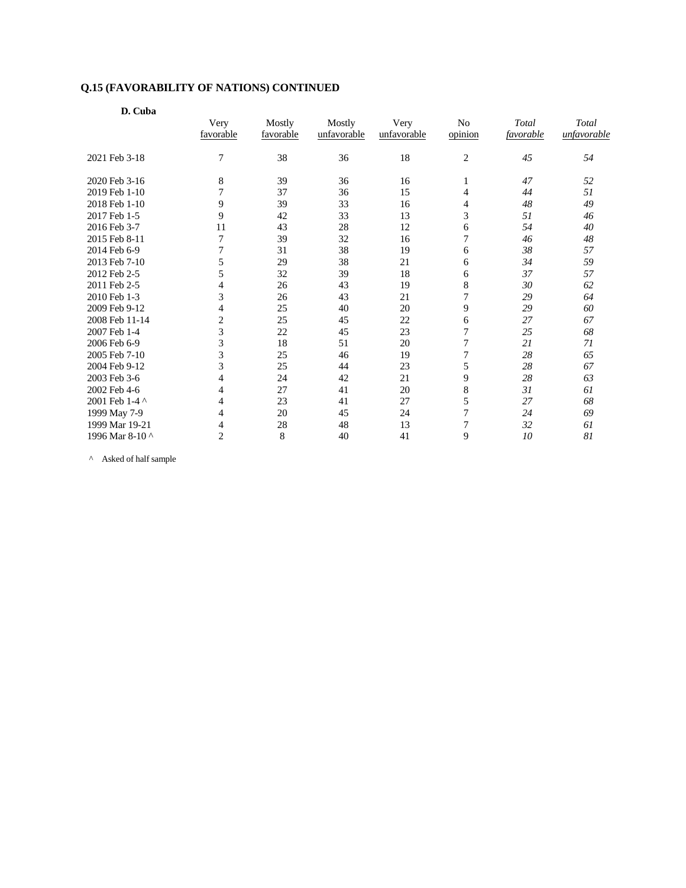| D. Cuba         |                   |                     |                       |                     |                |                    |                      |
|-----------------|-------------------|---------------------|-----------------------|---------------------|----------------|--------------------|----------------------|
|                 | Very<br>favorable | Mostly<br>favorable | Mostly<br>unfavorable | Very<br>unfavorable | No<br>opinion  | Total<br>favorable | Total<br>unfavorable |
|                 |                   |                     |                       |                     |                |                    |                      |
| 2021 Feb 3-18   | 7                 | 38                  | 36                    | 18                  | $\overline{c}$ | 45                 | 54                   |
| 2020 Feb 3-16   | 8                 | 39                  | 36                    | 16                  | 1              | 47                 | 52                   |
| 2019 Feb 1-10   | $\tau$            | 37                  | 36                    | 15                  | 4              | 44                 | 51                   |
| 2018 Feb 1-10   | 9                 | 39                  | 33                    | 16                  | 4              | 48                 | 49                   |
| 2017 Feb 1-5    | 9                 | 42                  | 33                    | 13                  | 3              | 51                 | 46                   |
| 2016 Feb 3-7    | 11                | 43                  | 28                    | 12                  | 6              | 54                 | 40                   |
| 2015 Feb 8-11   | 7                 | 39                  | 32                    | 16                  | 7              | 46                 | $\sqrt{48}$          |
| 2014 Feb 6-9    | 7                 | 31                  | 38                    | 19                  | 6              | 38                 | 57                   |
| 2013 Feb 7-10   | 5                 | 29                  | 38                    | 21                  | 6              | 34                 | 59                   |
| 2012 Feb 2-5    | 5                 | 32                  | 39                    | 18                  | 6              | 37                 | 57                   |
| 2011 Feb 2-5    | $\overline{4}$    | 26                  | 43                    | 19                  | $\,8\,$        | 30                 | 62                   |
| 2010 Feb 1-3    | 3                 | 26                  | 43                    | 21                  | $\overline{7}$ | 29                 | 64                   |
| 2009 Feb 9-12   | 4                 | 25                  | 40                    | 20                  | 9              | 29                 | 60                   |
| 2008 Feb 11-14  | $\overline{2}$    | 25                  | 45                    | $22\,$              | 6              | 27                 | 67                   |
| 2007 Feb 1-4    | 3                 | 22                  | 45                    | 23                  | $\overline{7}$ | 25                 | 68                   |
| 2006 Feb 6-9    | 3                 | 18                  | 51                    | 20                  | 7              | 21                 | 71                   |
| 2005 Feb 7-10   | 3                 | 25                  | 46                    | 19                  | $\sqrt{ }$     | 28                 | 65                   |
| 2004 Feb 9-12   | 3                 | 25                  | 44                    | 23                  | 5              | 28                 | 67                   |
| 2003 Feb 3-6    | $\overline{4}$    | 24                  | 42                    | 21                  | 9              | 28                 | 63                   |
| 2002 Feb 4-6    | $\overline{4}$    | 27                  | 41                    | 20                  | 8              | 31                 | 61                   |
| 2001 Feb 1-4 ^  | 4                 | 23                  | 41                    | 27                  | 5              | 27                 | 68                   |
| 1999 May 7-9    | $\overline{4}$    | 20                  | 45                    | 24                  | $\overline{7}$ | 24                 | 69                   |
| 1999 Mar 19-21  | 4                 | 28                  | 48                    | 13                  | $\overline{7}$ | 32                 | 61                   |
| 1996 Mar 8-10 ^ | $\overline{2}$    | 8                   | 40                    | 41                  | 9              | 10                 | 81                   |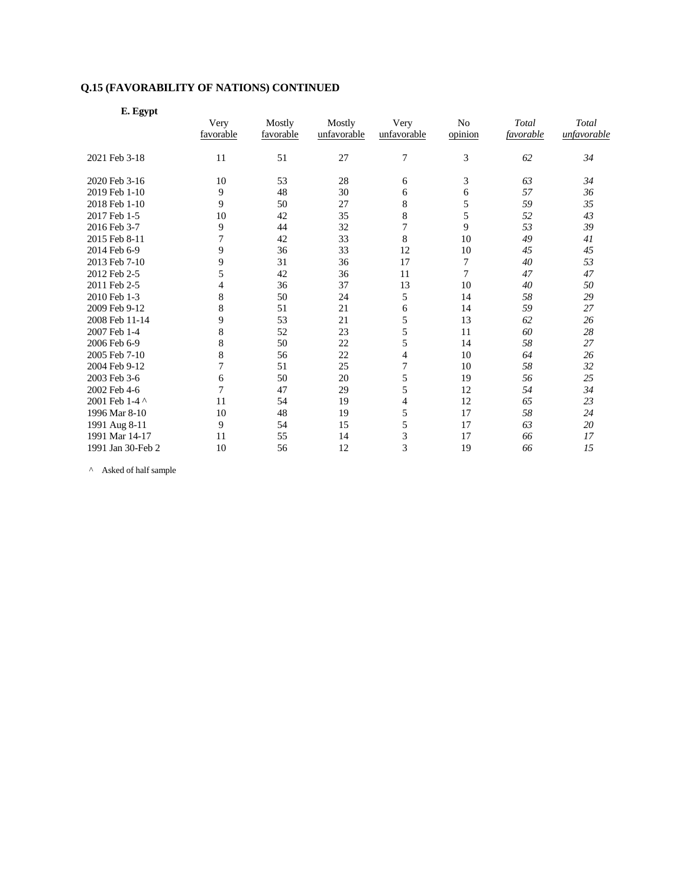| E. Egypt          |                |           |             |                  |                |           |             |
|-------------------|----------------|-----------|-------------|------------------|----------------|-----------|-------------|
|                   | Very           | Mostly    | Mostly      | Very             | N <sub>o</sub> | Total     | Total       |
|                   | favorable      | favorable | unfavorable | unfavorable      | opinion        | favorable | unfavorable |
| 2021 Feb 3-18     | 11             | 51        | 27          | $\boldsymbol{7}$ | 3              | 62        | 34          |
| 2020 Feb 3-16     | 10             | 53        | 28          | 6                | 3              | 63        | 34          |
| 2019 Feb 1-10     | 9              | 48        | 30          | 6                | 6              | 57        | 36          |
| 2018 Feb 1-10     | 9              | 50        | 27          | 8                | 5              | 59        | 35          |
| 2017 Feb 1-5      | 10             | 42        | 35          | $\,$ 8 $\,$      | 5              | 52        | 43          |
| 2016 Feb 3-7      | 9              | 44        | 32          | $\overline{7}$   | 9              | 53        | 39          |
| 2015 Feb 8-11     | 7              | 42        | 33          | 8                | 10             | 49        | 41          |
| 2014 Feb 6-9      | 9              | 36        | 33          | 12               | 10             | 45        | 45          |
| 2013 Feb 7-10     | 9              | 31        | 36          | 17               | 7              | 40        | 53          |
| 2012 Feb 2-5      | 5              | 42        | 36          | 11               | 7              | 47        | 47          |
| 2011 Feb 2-5      | 4              | 36        | 37          | 13               | 10             | 40        | 50          |
| 2010 Feb 1-3      | 8              | 50        | 24          | 5                | 14             | 58        | 29          |
| 2009 Feb 9-12     | 8              | 51        | 21          | 6                | 14             | 59        | 27          |
| 2008 Feb 11-14    | 9              | 53        | 21          | 5                | 13             | 62        | 26          |
| 2007 Feb 1-4      | 8              | 52        | 23          | 5                | 11             | 60        | 28          |
| 2006 Feb 6-9      | 8              | 50        | 22          | 5                | 14             | 58        | 27          |
| 2005 Feb 7-10     | 8              | 56        | 22          | $\overline{4}$   | 10             | 64        | 26          |
| 2004 Feb 9-12     | 7              | 51        | 25          | 7                | 10             | 58        | 32          |
| 2003 Feb 3-6      | 6              | 50        | 20          | 5                | 19             | 56        | 25          |
| 2002 Feb 4-6      | $\overline{7}$ | 47        | 29          | 5                | 12             | 54        | 34          |
| 2001 Feb 1-4 ^    | 11             | 54        | 19          | 4                | 12             | 65        | 23          |
| 1996 Mar 8-10     | 10             | 48        | 19          | 5                | 17             | 58        | 24          |
| 1991 Aug 8-11     | 9              | 54        | 15          | 5                | 17             | 63        | 20          |
| 1991 Mar 14-17    | 11             | 55        | 14          | 3                | 17             | 66        | 17          |
| 1991 Jan 30-Feb 2 | 10             | 56        | 12          | 3                | 19             | 66        | 15          |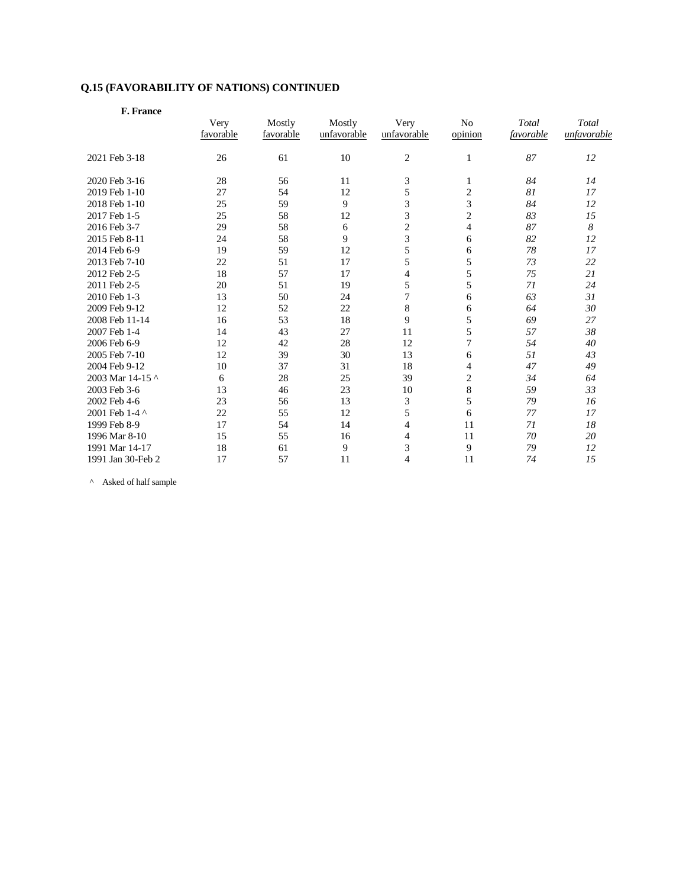| F. France         |           |           |             |               |                |           |             |
|-------------------|-----------|-----------|-------------|---------------|----------------|-----------|-------------|
|                   | Very      | Mostly    | Mostly      | Very          | No             | Total     | Total       |
|                   | favorable | favorable | unfavorable | unfavorable   | opinion        | favorable | unfavorable |
| 2021 Feb 3-18     | 26        | 61        | 10          | 2             | 1              | 87        | 12          |
| 2020 Feb 3-16     | 28        | 56        | 11          | 3             | 1              | 84        | 14          |
| 2019 Feb 1-10     | 27        | 54        | 12          | 5             | $\overline{c}$ | 81        | 17          |
| 2018 Feb 1-10     | 25        | 59        | 9           | 3             | 3              | 84        | 12          |
| 2017 Feb 1-5      | 25        | 58        | 12          | 3             | $\overline{c}$ | 83        | 15          |
| 2016 Feb 3-7      | 29        | 58        | 6           | $\frac{2}{3}$ | $\overline{4}$ | 87        | 8           |
| 2015 Feb 8-11     | 24        | 58        | 9           |               | 6              | 82        | 12          |
| 2014 Feb 6-9      | 19        | 59        | 12          | 5             | 6              | 78        | 17          |
| 2013 Feb 7-10     | 22        | 51        | 17          | 5             | 5              | 73        | 22          |
| 2012 Feb 2-5      | 18        | 57        | 17          | 4             | 5              | 75        | 21          |
| 2011 Feb 2-5      | 20        | 51        | 19          | 5             | 5              | 71        | 24          |
| 2010 Feb 1-3      | 13        | 50        | 24          | 7             | 6              | 63        | 31          |
| 2009 Feb 9-12     | 12        | 52        | 22          | 8             | 6              | 64        | 30          |
| 2008 Feb 11-14    | 16        | 53        | 18          | 9             | 5              | 69        | 27          |
| 2007 Feb 1-4      | 14        | 43        | 27          | 11            | 5              | 57        | 38          |
| 2006 Feb 6-9      | 12        | 42        | 28          | 12            | 7              | 54        | 40          |
| 2005 Feb 7-10     | 12        | 39        | 30          | 13            | 6              | 51        | 43          |
| 2004 Feb 9-12     | 10        | 37        | 31          | 18            | 4              | 47        | 49          |
| 2003 Mar 14-15 ^  | 6         | 28        | 25          | 39            | $\overline{c}$ | 34        | 64          |
| 2003 Feb 3-6      | 13        | 46        | 23          | 10            | 8              | 59        | 33          |
| 2002 Feb 4-6      | 23        | 56        | 13          | 3             | 5              | 79        | 16          |
| 2001 Feb 1-4 ^    | 22        | 55        | 12          | 5             | 6              | 77        | 17          |
| 1999 Feb 8-9      | 17        | 54        | 14          | 4             | 11             | 71        | 18          |
| 1996 Mar 8-10     | 15        | 55        | 16          | 4             | 11             | 70        | 20          |
| 1991 Mar 14-17    | 18        | 61        | 9           | 3             | 9              | 79        | 12          |
| 1991 Jan 30-Feb 2 | 17        | 57        | 11          | 4             | 11             | 74        | 15          |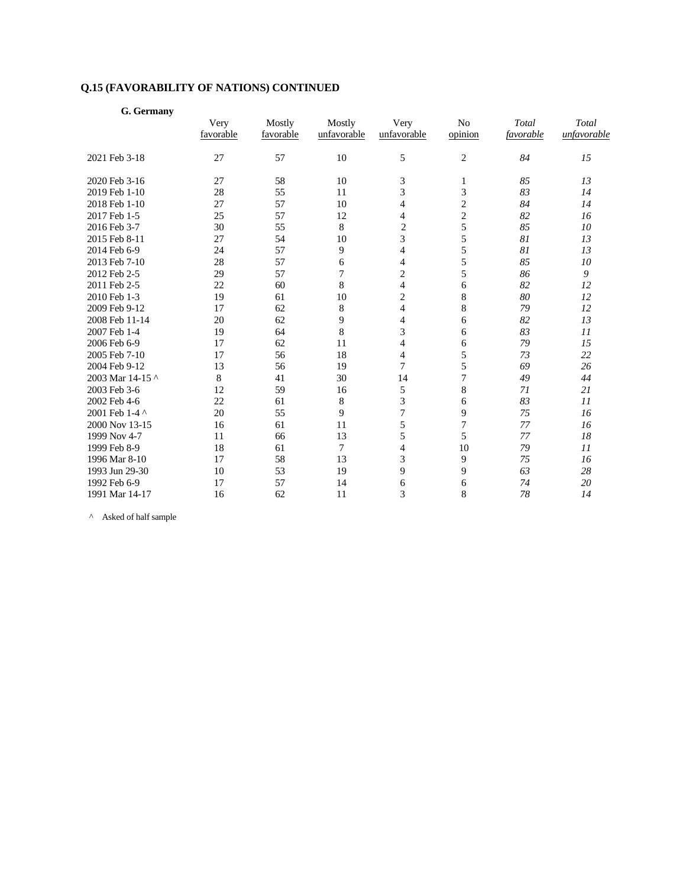| G. Germany       |                   |                     |                       |                          |                           |                    |                      |
|------------------|-------------------|---------------------|-----------------------|--------------------------|---------------------------|--------------------|----------------------|
|                  | Very<br>favorable | Mostly<br>favorable | Mostly<br>unfavorable | Very<br>unfavorable      | N <sub>o</sub><br>opinion | Total<br>favorable | Total<br>unfavorable |
| 2021 Feb 3-18    | 27                | 57                  | 10                    | 5                        | $\overline{c}$            | 84                 | 15                   |
| 2020 Feb 3-16    | 27                | 58                  | 10                    | 3                        | 1                         | 85                 | 13                   |
| 2019 Feb 1-10    | 28                | 55                  | 11                    | 3                        | 3                         | 83                 | 14                   |
| 2018 Feb 1-10    | 27                | 57                  | 10                    | $\overline{4}$           | $\overline{c}$            | 84                 | 14                   |
| 2017 Feb 1-5     | 25                | 57                  | 12                    | 4                        | $\overline{c}$            | 82                 | 16                   |
| 2016 Feb 3-7     | 30                | 55                  | 8                     | $\overline{2}$           | 5                         | 85                 | 10                   |
| 2015 Feb 8-11    | 27                | 54                  | 10                    | 3                        | 5                         | 81                 | 13                   |
| 2014 Feb 6-9     | 24                | 57                  | 9                     | 4                        | 5                         | 81                 | 13                   |
| 2013 Feb 7-10    | 28                | 57                  | 6                     | 4                        | 5                         | 85                 | 10                   |
| 2012 Feb 2-5     | 29                | 57                  | 7                     | $\overline{c}$           | 5                         | 86                 | 9                    |
| 2011 Feb 2-5     | 22                | 60                  | 8                     | $\overline{\mathcal{L}}$ | 6                         | 82                 | 12                   |
| 2010 Feb 1-3     | 19                | 61                  | 10                    | $\overline{c}$           | 8                         | 80                 | 12                   |
| 2009 Feb 9-12    | 17                | 62                  | $\,8\,$               | $\overline{4}$           | 8                         | 79                 | 12                   |
| 2008 Feb 11-14   | 20                | 62                  | 9                     | $\overline{4}$           | 6                         | 82                 | 13                   |
| 2007 Feb 1-4     | 19                | 64                  | 8                     | 3                        | 6                         | 83                 | II                   |
| 2006 Feb 6-9     | 17                | 62                  | 11                    | 4                        | 6                         | 79                 | 15                   |
| 2005 Feb 7-10    | 17                | 56                  | 18                    | 4                        | 5                         | 73                 | 22                   |
| 2004 Feb 9-12    | 13                | 56                  | 19                    | 7                        | 5                         | 69                 | 26                   |
| 2003 Mar 14-15 ^ | 8                 | 41                  | 30                    | 14                       | 7                         | 49                 | 44                   |
| 2003 Feb 3-6     | 12                | 59                  | 16                    | 5                        | 8                         | 71                 | 21                   |
| 2002 Feb 4-6     | 22                | 61                  | 8                     | 3                        | 6                         | 83                 | II                   |
| 2001 Feb 1-4 ^   | 20                | 55                  | 9                     | $\overline{7}$           | 9                         | 75                 | 16                   |
| 2000 Nov 13-15   | 16                | 61                  | 11                    | 5                        | $\sqrt{ }$                | 77                 | 16                   |
| 1999 Nov 4-7     | 11                | 66                  | 13                    | 5                        | 5                         | 77                 | 18                   |
| 1999 Feb 8-9     | 18                | 61                  | 7                     | $\overline{4}$           | 10                        | 79                 | 11                   |
| 1996 Mar 8-10    | 17                | 58                  | 13                    | 3                        | 9                         | 75                 | 16                   |
| 1993 Jun 29-30   | 10                | 53                  | 19                    | 9                        | 9                         | 63                 | 28                   |
| 1992 Feb 6-9     | 17                | 57                  | 14                    | 6                        | 6                         | 74                 | 20                   |
| 1991 Mar 14-17   | 16                | 62                  | 11                    | 3                        | 8                         | 78                 | 14                   |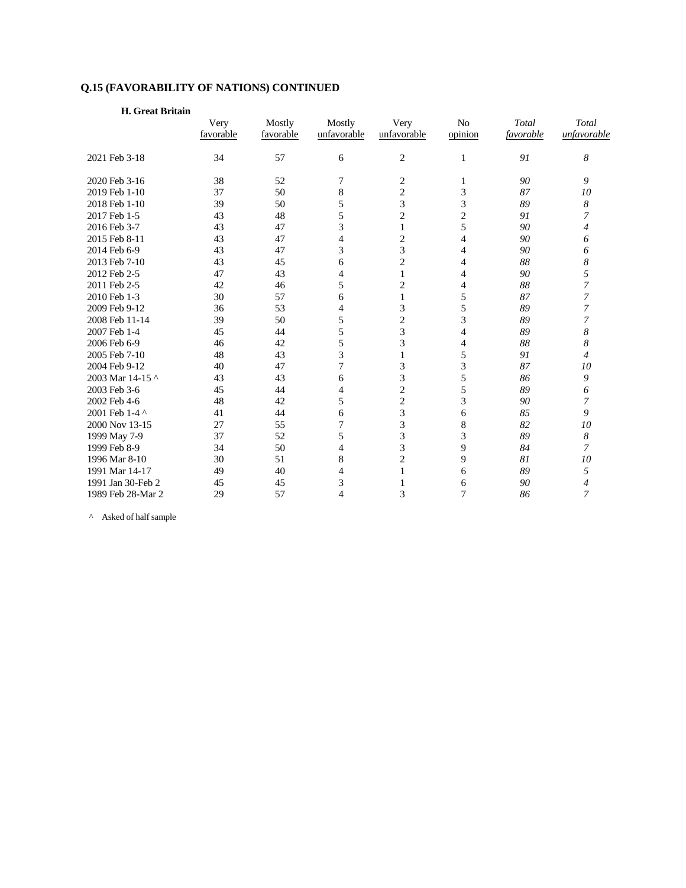| H. Great Britain  |                   |                     |                       |                     |                           |                    |                      |
|-------------------|-------------------|---------------------|-----------------------|---------------------|---------------------------|--------------------|----------------------|
|                   | Very<br>favorable | Mostly<br>favorable | Mostly<br>unfavorable | Very<br>unfavorable | N <sub>o</sub><br>opinion | Total<br>favorable | Total<br>unfavorable |
| 2021 Feb 3-18     | 34                | 57                  | 6                     | 2                   | $\mathbf{1}$              | 91                 | 8                    |
| 2020 Feb 3-16     | 38                | 52                  | 7                     | 2                   | 1                         | 90                 | 9                    |
| 2019 Feb 1-10     | 37                | 50                  | 8                     | 2                   | 3                         | 87                 | 10                   |
| 2018 Feb 1-10     | 39                | 50                  | 5                     | 3                   | 3                         | 89                 | 8                    |
| 2017 Feb 1-5      | 43                | 48                  | 5                     | $\overline{2}$      | $\overline{c}$            | 91                 | 7                    |
| 2016 Feb 3-7      | 43                | 47                  | 3                     | 1                   | 5                         | 90                 | 4                    |
| 2015 Feb 8-11     | 43                | 47                  | 4                     | $\overline{c}$      | $\overline{4}$            | 90                 | 6                    |
| 2014 Feb 6-9      | 43                | 47                  | $\mathfrak{Z}$        | 3                   | $\overline{4}$            | 90                 | 6                    |
| 2013 Feb 7-10     | 43                | 45                  | 6                     | $\overline{c}$      | $\overline{4}$            | 88                 | 8                    |
| 2012 Feb 2-5      | 47                | 43                  | 4                     | 1                   | 4                         | 90                 | 5                    |
| 2011 Feb 2-5      | 42                | 46                  | 5                     | $\overline{2}$      | $\overline{4}$            | 88                 | 7                    |
| 2010 Feb 1-3      | 30                | 57                  | 6                     | 1                   | 5                         | 87                 | 7                    |
| 2009 Feb 9-12     | 36                | 53                  | 4                     | 3                   | 5                         | 89                 | 7                    |
| 2008 Feb 11-14    | 39                | 50                  | 5                     | $\overline{c}$      | 3                         | 89                 | 7                    |
| 2007 Feb 1-4      | 45                | 44                  | 5                     | 3                   | $\overline{4}$            | 89                 | 8                    |
| 2006 Feb 6-9      | 46                | 42                  | 5                     | 3                   | $\overline{4}$            | 88                 | 8                    |
| 2005 Feb 7-10     | 48                | 43                  | 3                     | 1                   | 5                         | 91                 | $\overline{4}$       |
| 2004 Feb 9-12     | 40                | 47                  | $\overline{7}$        | 3                   | 3                         | 87                 | 10                   |
| 2003 Mar 14-15 ^  | 43                | 43                  | 6                     | 3                   | 5                         | 86                 | 9                    |
| 2003 Feb 3-6      | 45                | 44                  | 4                     | $\overline{c}$      | 5                         | 89                 | 6                    |
| 2002 Feb 4-6      | 48                | 42                  | 5                     | $\overline{c}$      | 3                         | 90                 | 7                    |
| 2001 Feb 1-4 ^    | 41                | 44                  | 6                     | $\overline{3}$      | 6                         | 85                 | 9                    |
| 2000 Nov 13-15    | 27                | 55                  | $\overline{7}$        | 3                   | 8                         | 82                 | 10                   |
| 1999 May 7-9      | 37                | 52                  | 5                     | $\mathfrak{Z}$      | 3                         | 89                 | 8                    |
| 1999 Feb 8-9      | 34                | 50                  | 4                     | 3                   | 9                         | 84                 | 7                    |
| 1996 Mar 8-10     | 30                | 51                  | 8                     | $\overline{c}$      | 9                         | 81                 | 10                   |
| 1991 Mar 14-17    | 49                | 40                  | 4                     | 1                   | 6                         | 89                 | 5                    |
| 1991 Jan 30-Feb 2 | 45                | 45                  | 3                     |                     | 6                         | 90                 | $\overline{4}$       |
| 1989 Feb 28-Mar 2 | 29                | 57                  | 4                     | 3                   | 7                         | 86                 | 7                    |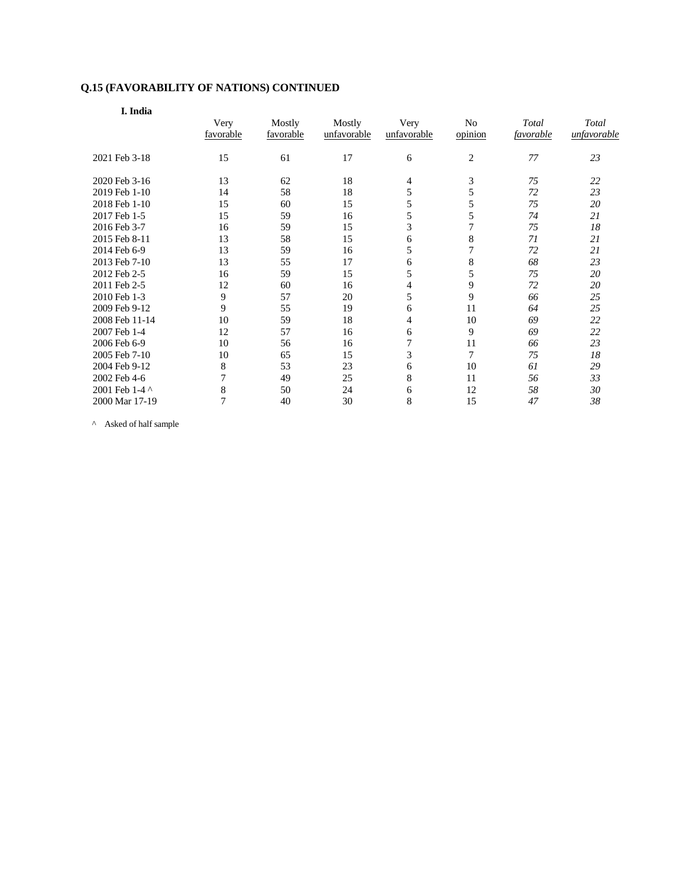| I. India       |           |           |             |             |                |           |             |
|----------------|-----------|-----------|-------------|-------------|----------------|-----------|-------------|
|                | Very      | Mostly    | Mostly      | Very        | No             | Total     | Total       |
|                | favorable | favorable | unfavorable | unfavorable | opinion        | favorable | unfavorable |
| 2021 Feb 3-18  | 15        | 61        | 17          | 6           | $\overline{c}$ | 77        | 23          |
| 2020 Feb 3-16  | 13        | 62        | 18          | 4           | 3              | 75        | 22          |
| 2019 Feb 1-10  | 14        | 58        | 18          | 5           | 5              | 72        | 23          |
| 2018 Feb 1-10  | 15        | 60        | 15          | 5           | 5              | 75        | 20          |
| 2017 Feb 1-5   | 15        | 59        | 16          | 5           | 5              | 74        | 21          |
| 2016 Feb 3-7   | 16        | 59        | 15          | 3           | $\tau$         | 75        | 18          |
| 2015 Feb 8-11  | 13        | 58        | 15          | 6           | 8              | 71        | 21          |
| 2014 Feb 6-9   | 13        | 59        | 16          | 5           | $\overline{7}$ | 72        | 21          |
| 2013 Feb 7-10  | 13        | 55        | 17          | 6           | $\,$ 8 $\,$    | 68        | 23          |
| 2012 Feb 2-5   | 16        | 59        | 15          | 5           | 5              | 75        | 20          |
| 2011 Feb 2-5   | 12        | 60        | 16          | 4           | 9              | 72        | 20          |
| 2010 Feb 1-3   | 9         | 57        | 20          | 5           | 9              | 66        | 25          |
| 2009 Feb 9-12  | 9         | 55        | 19          | 6           | 11             | 64        | 25          |
| 2008 Feb 11-14 | 10        | 59        | 18          | 4           | 10             | 69        | 22          |
| 2007 Feb 1-4   | 12        | 57        | 16          | 6           | 9              | 69        | 22          |
| 2006 Feb 6-9   | 10        | 56        | 16          | 7           | 11             | 66        | 23          |
| 2005 Feb 7-10  | 10        | 65        | 15          | 3           | $\tau$         | 75        | 18          |
| 2004 Feb 9-12  | 8         | 53        | 23          | 6           | 10             | 61        | 29          |
| 2002 Feb 4-6   | 7         | 49        | 25          | 8           | 11             | 56        | 33          |
| 2001 Feb 1-4 ^ | 8         | 50        | 24          | 6           | 12             | 58        | 30          |
| 2000 Mar 17-19 | 7         | 40        | 30          | 8           | 15             | 47        | 38          |

 $^\wedge$  Asked of half sample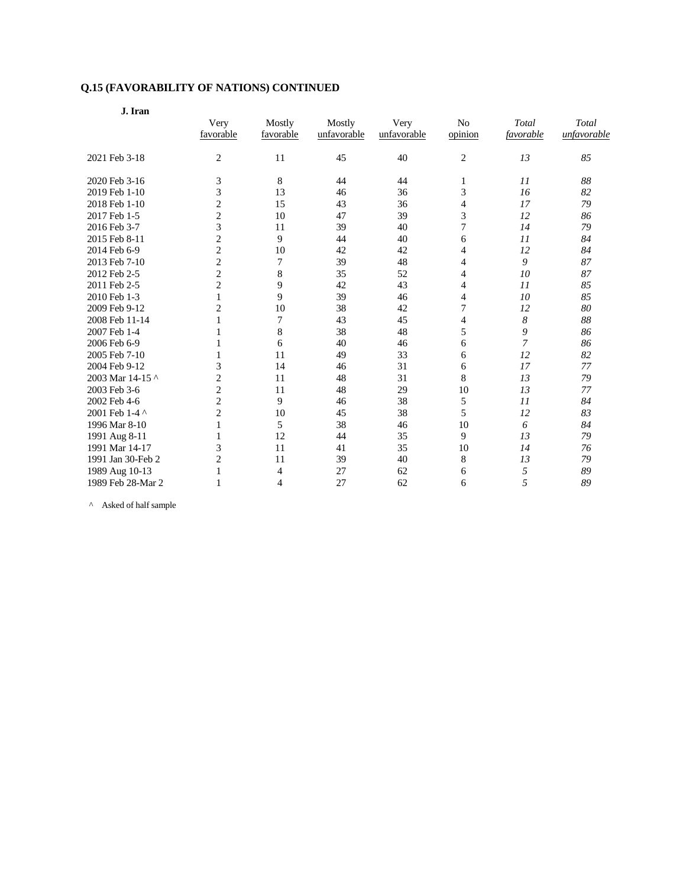| ۰.<br>$\sim$<br>× | v |
|-------------------|---|
|                   |   |

|                   | Very<br>favorable | Mostly<br>favorable | Mostly<br>unfavorable | Very<br>unfavorable | N <sub>o</sub><br>opinion | Total<br>favorable | Total<br>unfavorable |  |
|-------------------|-------------------|---------------------|-----------------------|---------------------|---------------------------|--------------------|----------------------|--|
| 2021 Feb 3-18     | $\overline{c}$    | 11                  | 45                    | 40                  | $\overline{c}$            | 13                 | 85                   |  |
| 2020 Feb 3-16     | 3                 | 8                   | 44                    | 44                  | $\mathbf{1}$              | 11                 | 88                   |  |
| 2019 Feb 1-10     | 3                 | 13                  | 46                    | 36                  | 3                         | 16                 | 82                   |  |
| 2018 Feb 1-10     | 2                 | 15                  | 43                    | 36                  | 4                         | 17                 | 79                   |  |
| 2017 Feb 1-5      | 2                 | 10                  | 47                    | 39                  | 3                         | 12                 | 86                   |  |
| 2016 Feb 3-7      | 3                 | 11                  | 39                    | 40                  | 7                         | 14                 | 79                   |  |
| 2015 Feb 8-11     | $\overline{c}$    | 9                   | 44                    | 40                  | 6                         | 11                 | 84                   |  |
| 2014 Feb 6-9      | $\overline{c}$    | 10                  | 42                    | 42                  | 4                         | 12                 | 84                   |  |
| 2013 Feb 7-10     | $\overline{c}$    | 7                   | 39                    | 48                  | 4                         | 9                  | 87                   |  |
| 2012 Feb 2-5      | $\overline{c}$    | 8                   | 35                    | 52                  | 4                         | 10                 | 87                   |  |
| 2011 Feb 2-5      | $\overline{c}$    | 9                   | 42                    | 43                  | $\overline{4}$            | $_{II}$            | 85                   |  |
| 2010 Feb 1-3      | 1                 | 9                   | 39                    | 46                  | 4                         | 10                 | 85                   |  |
| 2009 Feb 9-12     | $\overline{c}$    | 10                  | 38                    | 42                  | $\overline{7}$            | 12                 | 80                   |  |
| 2008 Feb 11-14    | 1                 | 7                   | 43                    | 45                  | 4                         | 8                  | 88                   |  |
| 2007 Feb 1-4      |                   | 8                   | 38                    | 48                  | 5                         | 9                  | 86                   |  |
| 2006 Feb 6-9      |                   | 6                   | 40                    | 46                  | 6                         | 7                  | 86                   |  |
| 2005 Feb 7-10     | 1                 | 11                  | 49                    | 33                  | 6                         | 12                 | 82                   |  |
| 2004 Feb 9-12     | 3                 | 14                  | 46                    | 31                  | 6                         | 17                 | 77                   |  |
| 2003 Mar 14-15 ^  | 2                 | 11                  | 48                    | 31                  | 8                         | 13                 | 79                   |  |
| 2003 Feb 3-6      | $\overline{c}$    | 11                  | 48                    | 29                  | 10                        | 13                 | 77                   |  |
| 2002 Feb 4-6      | $\overline{c}$    | 9                   | 46                    | 38                  | 5                         | II                 | 84                   |  |
| 2001 Feb 1-4 ^    | $\overline{c}$    | 10                  | 45                    | 38                  | 5                         | 12                 | 83                   |  |
| 1996 Mar 8-10     | 1                 | 5                   | 38                    | 46                  | 10                        | 6                  | 84                   |  |
| 1991 Aug 8-11     |                   | 12                  | 44                    | 35                  | 9                         | 13                 | 79                   |  |
| 1991 Mar 14-17    | 3                 | 11                  | 41                    | 35                  | 10                        | 14                 | 76                   |  |
| 1991 Jan 30-Feb 2 | $\overline{c}$    | 11                  | 39                    | 40                  | 8                         | 13                 | 79                   |  |
| 1989 Aug 10-13    |                   | 4                   | 27                    | 62                  | 6                         | 5                  | 89                   |  |
| 1989 Feb 28-Mar 2 |                   | 4                   | 27                    | 62                  | 6                         | 5                  | 89                   |  |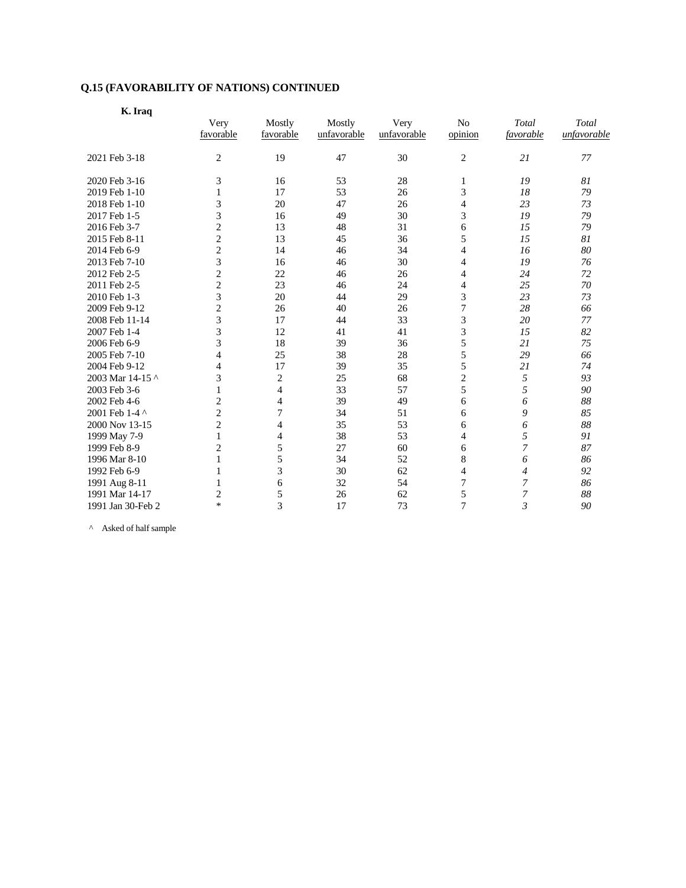|--|--|

|                   | Very<br>favorable | Mostly<br>favorable | Mostly<br>unfavorable | Very<br>unfavorable | N <sub>o</sub><br>opinion | Total<br>favorable | Total<br>unfavorable |
|-------------------|-------------------|---------------------|-----------------------|---------------------|---------------------------|--------------------|----------------------|
|                   |                   |                     |                       |                     |                           |                    |                      |
| 2021 Feb 3-18     | $\overline{c}$    | 19                  | 47                    | 30                  | $\overline{c}$            | 21                 | 77                   |
| 2020 Feb 3-16     | 3                 | 16                  | 53                    | 28                  | 1                         | 19                 | 81                   |
| 2019 Feb 1-10     | 1                 | 17                  | 53                    | 26                  | 3                         | 18                 | 79                   |
| 2018 Feb 1-10     | 3                 | 20                  | 47                    | 26                  | $\overline{4}$            | 23                 | 73                   |
| 2017 Feb 1-5      | 3                 | 16                  | 49                    | 30                  | 3                         | 19                 | 79                   |
| 2016 Feb 3-7      | $\overline{c}$    | 13                  | 48                    | 31                  | 6                         | 15                 | 79                   |
| 2015 Feb 8-11     | $\overline{c}$    | 13                  | 45                    | 36                  | 5                         | 15                 | 81                   |
| 2014 Feb 6-9      | 2                 | 14                  | 46                    | 34                  | 4                         | 16                 | 80                   |
| 2013 Feb 7-10     | 3                 | 16                  | 46                    | 30                  | 4                         | 19                 | 76                   |
| 2012 Feb 2-5      | 2                 | 22                  | 46                    | 26                  | 4                         | 24                 | 72                   |
| 2011 Feb 2-5      | $\overline{c}$    | 23                  | 46                    | 24                  | $\overline{4}$            | 25                 | 70                   |
| 2010 Feb 1-3      | 3                 | 20                  | 44                    | 29                  | 3                         | 23                 | 73                   |
| 2009 Feb 9-12     | $\overline{c}$    | 26                  | 40                    | 26                  | $\overline{7}$            | 28                 | 66                   |
| 2008 Feb 11-14    | 3                 | 17                  | 44                    | 33                  | 3                         | 20                 | 77                   |
| 2007 Feb 1-4      | 3                 | 12                  | 41                    | 41                  | 3                         | 15                 | 82                   |
| 2006 Feb 6-9      | 3                 | 18                  | 39                    | 36                  | 5                         | 21                 | 75                   |
| 2005 Feb 7-10     | 4                 | 25                  | 38                    | 28                  | 5                         | 29                 | 66                   |
| 2004 Feb 9-12     | 4                 | 17                  | 39                    | 35                  | 5                         | 21                 | 74                   |
| 2003 Mar 14-15 ^  | 3                 | $\overline{c}$      | 25                    | 68                  | $\overline{c}$            | 5                  | 93                   |
| 2003 Feb 3-6      | 1                 | 4                   | 33                    | 57                  | 5                         | 5                  | 90                   |
| 2002 Feb 4-6      | 2                 | 4                   | 39                    | 49                  | 6                         | 6                  | 88                   |
| 2001 Feb 1-4 ^    | $\overline{c}$    | 7                   | 34                    | 51                  | 6                         | 9                  | 85                   |
| 2000 Nov 13-15    | $\overline{c}$    | $\overline{4}$      | 35                    | 53                  | 6                         | 6                  | 88                   |
| 1999 May 7-9      | 1                 | 4                   | 38                    | 53                  | 4                         | 5                  | 91                   |
| 1999 Feb 8-9      | 2                 | 5                   | 27                    | 60                  | 6                         | 7                  | 87                   |
| 1996 Mar 8-10     | 1                 | 5                   | 34                    | 52                  | $\,$ 8 $\,$               | 6                  | 86                   |
| 1992 Feb 6-9      | 1                 | 3                   | 30                    | 62                  | $\overline{4}$            | 4                  | 92                   |
| 1991 Aug 8-11     | 1                 | 6                   | 32                    | 54                  | $\overline{7}$            | 7                  | 86                   |
| 1991 Mar 14-17    | 2                 | 5                   | 26                    | 62                  | 5                         | 7                  | 88                   |
| 1991 Jan 30-Feb 2 | *                 | 3                   | 17                    | 73                  | 7                         | 3                  | 90                   |

 $\wedge$  Asked of half sample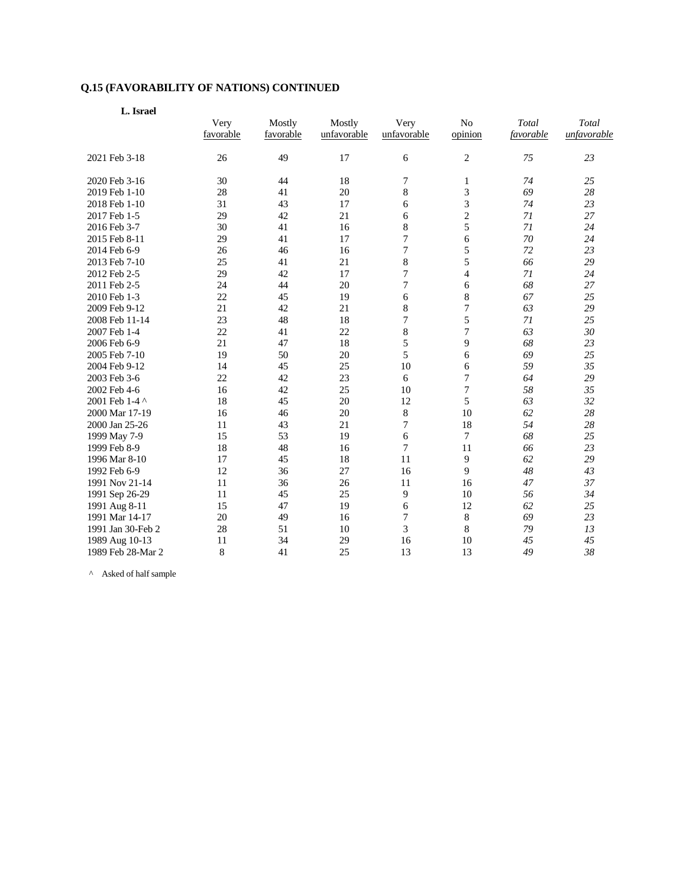| L. Israel         |                   |                     |                       |                     |                           |                    |                      |  |
|-------------------|-------------------|---------------------|-----------------------|---------------------|---------------------------|--------------------|----------------------|--|
|                   | Very<br>favorable | Mostly<br>favorable | Mostly<br>unfavorable | Very<br>unfavorable | N <sub>o</sub><br>opinion | Total<br>favorable | Total<br>unfavorable |  |
| 2021 Feb 3-18     | 26                | 49                  | 17                    | 6                   | $\overline{c}$            | 75                 | 23                   |  |
| 2020 Feb 3-16     | 30                | 44                  | 18                    | 7                   | 1                         | 74                 | 25                   |  |
| 2019 Feb 1-10     | 28                | 41                  | 20                    | 8                   | 3                         | 69                 | 28                   |  |
| 2018 Feb 1-10     | 31                | 43                  | 17                    | 6                   | 3                         | 74                 | 23                   |  |
| 2017 Feb 1-5      | 29                | 42                  | 21                    | 6                   | $\overline{c}$            | 71                 | 27                   |  |
| 2016 Feb 3-7      | 30                | 41                  | 16                    | 8                   | 5                         | 71                 | 24                   |  |
| 2015 Feb 8-11     | 29                | 41                  | 17                    | 7                   | 6                         | 70                 | 24                   |  |
| 2014 Feb 6-9      | 26                | 46                  | 16                    | 7                   | 5                         | 72                 | 23                   |  |
| 2013 Feb 7-10     | 25                | 41                  | 21                    | 8                   | 5                         | 66                 | 29                   |  |
| 2012 Feb 2-5      | 29                | 42                  | 17                    | $\overline{7}$      | $\overline{\mathcal{L}}$  | 71                 | 24                   |  |
| 2011 Feb 2-5      | 24                | 44                  | 20                    | 7                   | 6                         | 68                 | 27                   |  |
| 2010 Feb 1-3      | 22                | 45                  | 19                    | 6                   | 8                         | 67                 | 25                   |  |
| 2009 Feb 9-12     | 21                | 42                  | 21                    | 8                   | $\overline{7}$            | 63                 | 29                   |  |
| 2008 Feb 11-14    | 23                | 48                  | 18                    | 7                   | 5                         | 71                 | 25                   |  |
| 2007 Feb 1-4      | 22                | 41                  | 22                    | 8                   | 7                         | 63                 | 30                   |  |
| 2006 Feb 6-9      | 21                | 47                  | 18                    | 5                   | 9                         | 68                 | 23                   |  |
| 2005 Feb 7-10     | 19                | 50                  | 20                    | 5                   | 6                         | 69                 | 25                   |  |
| 2004 Feb 9-12     | 14                | 45                  | 25                    | 10                  | 6                         | 59                 | 35                   |  |
| 2003 Feb 3-6      | 22                | 42                  | 23                    | 6                   | 7                         | 64                 | 29                   |  |
| 2002 Feb 4-6      | 16                | 42                  | 25                    | 10                  | 7                         | 58                 | 35                   |  |
| 2001 Feb 1-4 ^    | 18                | 45                  | 20                    | 12                  | 5                         | 63                 | 32                   |  |
| 2000 Mar 17-19    | 16                | 46                  | 20                    | $\,$ 8 $\,$         | 10                        | 62                 | 28                   |  |
| 2000 Jan 25-26    | 11                | 43                  | 21                    | 7                   | 18                        | 54                 | 28                   |  |
| 1999 May 7-9      | 15                | 53                  | 19                    | 6                   | $\tau$                    | 68                 | 25                   |  |
| 1999 Feb 8-9      | 18                | 48                  | 16                    | 7                   | 11                        | 66                 | 23                   |  |
| 1996 Mar 8-10     | 17                | 45                  | 18                    | 11                  | 9                         | 62                 | 29                   |  |
| 1992 Feb 6-9      | 12                | 36                  | 27                    | 16                  | 9                         | 48                 | 43                   |  |
| 1991 Nov 21-14    | 11                | 36                  | 26                    | 11                  | 16                        | 47                 | 37                   |  |
| 1991 Sep 26-29    | 11                | 45                  | 25                    | 9                   | 10                        | 56                 | 34                   |  |
| 1991 Aug 8-11     | 15                | 47                  | 19                    | 6                   | 12                        | 62                 | 25                   |  |
| 1991 Mar 14-17    | 20                | 49                  | 16                    | $\boldsymbol{7}$    | $\,$ 8 $\,$               | 69                 | 23                   |  |
| 1991 Jan 30-Feb 2 | 28                | 51                  | 10                    | 3                   | $\,$ 8 $\,$               | 79                 | 13                   |  |
| 1989 Aug 10-13    | 11                | 34                  | 29                    | 16                  | 10                        | 45                 | 45                   |  |
| 1989 Feb 28-Mar 2 | 8                 | 41                  | 25                    | 13                  | 13                        | 49                 | 38                   |  |

 $\wedge$  Asked of half sample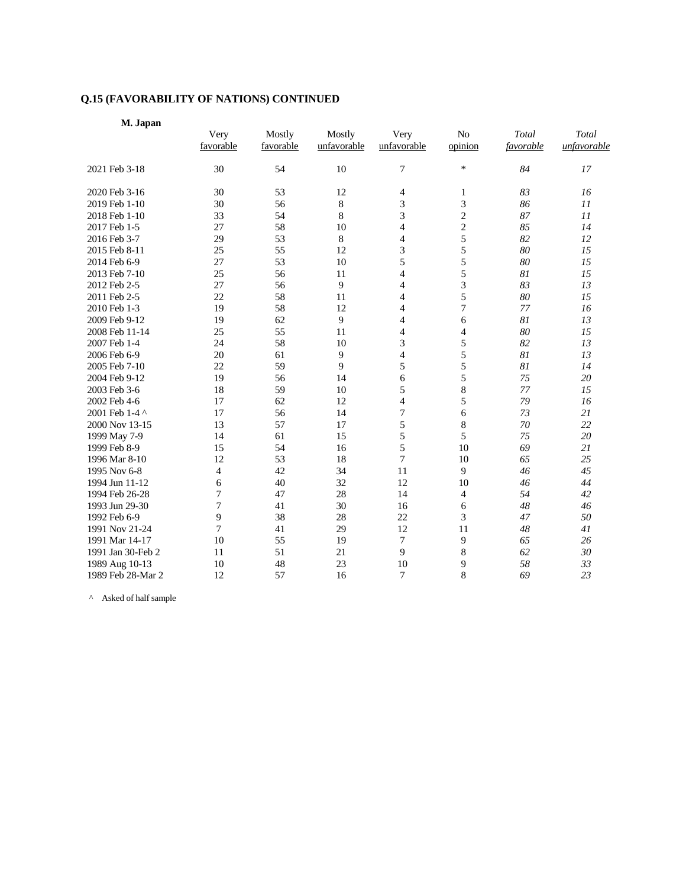| M. Japan |  |
|----------|--|
|----------|--|

|                   | Very           | Mostly    | Mostly      | Very           | No             | Total     | Total       |
|-------------------|----------------|-----------|-------------|----------------|----------------|-----------|-------------|
|                   | favorable      | favorable | unfavorable | unfavorable    | opinion        | favorable | unfavorable |
| 2021 Feb 3-18     | 30             | 54        | 10          | 7              | $\ast$         | 84        | 17          |
| 2020 Feb 3-16     | 30             | 53        | 12          | 4              | 1              | 83        | 16          |
| 2019 Feb 1-10     | 30             | 56        | 8           | 3              | 3              | 86        | II          |
| 2018 Feb 1-10     | 33             | 54        | 8           | 3              | $\overline{c}$ | 87        | 11          |
| 2017 Feb 1-5      | 27             | 58        | 10          | 4              | $\overline{c}$ | 85        | 14          |
| 2016 Feb 3-7      | 29             | 53        | 8           | 4              | 5              | 82        | 12          |
| 2015 Feb 8-11     | 25             | 55        | 12          | 3              | 5              | 80        | 15          |
| 2014 Feb 6-9      | 27             | 53        | 10          | 5              | 5              | 80        | 15          |
| 2013 Feb 7-10     | 25             | 56        | 11          | $\overline{4}$ | 5              | 81        | 15          |
| 2012 Feb 2-5      | 27             | 56        | 9           | 4              | 3              | 83        | 13          |
| 2011 Feb 2-5      | 22             | 58        | 11          | 4              | 5              | 80        | 15          |
| 2010 Feb 1-3      | 19             | 58        | 12          | $\overline{4}$ | 7              | 77        | 16          |
| 2009 Feb 9-12     | 19             | 62        | 9           | 4              | 6              | 81        | 13          |
| 2008 Feb 11-14    | 25             | 55        | 11          | 4              | 4              | 80        | 15          |
| 2007 Feb 1-4      | 24             | 58        | 10          | 3              | 5              | 82        | 13          |
| 2006 Feb 6-9      | 20             | 61        | 9           | 4              | 5              | 81        | 13          |
| 2005 Feb 7-10     | 22             | 59        | 9           | 5              | 5              | 81        | 14          |
| 2004 Feb 9-12     | 19             | 56        | 14          | 6              | 5              | 75        | 20          |
| 2003 Feb 3-6      | 18             | 59        | 10          | 5              | 8              | 77        | 15          |
| 2002 Feb 4-6      | 17             | 62        | 12          | $\overline{4}$ | 5              | 79        | 16          |
| 2001 Feb 1-4 ^    | 17             | 56        | 14          | 7              | 6              | 73        | 21          |
| 2000 Nov 13-15    | 13             | 57        | 17          | 5              | 8              | 70        | 22          |
| 1999 May 7-9      | 14             | 61        | 15          | 5              | 5              | 75        | 20          |
| 1999 Feb 8-9      | 15             | 54        | 16          | 5              | 10             | 69        | 21          |
| 1996 Mar 8-10     | 12             | 53        | 18          | $\overline{7}$ | 10             | 65        | 25          |
| 1995 Nov 6-8      | $\overline{4}$ | 42        | 34          | 11             | 9              | 46        | 45          |
| 1994 Jun 11-12    | 6              | 40        | 32          | 12             | 10             | 46        | 44          |
| 1994 Feb 26-28    | 7              | 47        | 28          | 14             | 4              | 54        | 42          |
| 1993 Jun 29-30    | 7              | 41        | 30          | 16             | 6              | 48        | 46          |
| 1992 Feb 6-9      | 9              | 38        | 28          | 22             | 3              | 47        | 50          |
| 1991 Nov 21-24    | 7              | 41        | 29          | 12             | 11             | 48        | 41          |
| 1991 Mar 14-17    | 10             | 55        | 19          | 7              | 9              | 65        | 26          |
| 1991 Jan 30-Feb 2 | 11             | 51        | 21          | 9              | 8              | 62        | 30          |
| 1989 Aug 10-13    | 10             | 48        | 23          | 10             | 9              | 58        | 33          |
| 1989 Feb 28-Mar 2 | 12             | 57        | 16          | $\overline{7}$ | 8              | 69        | 23          |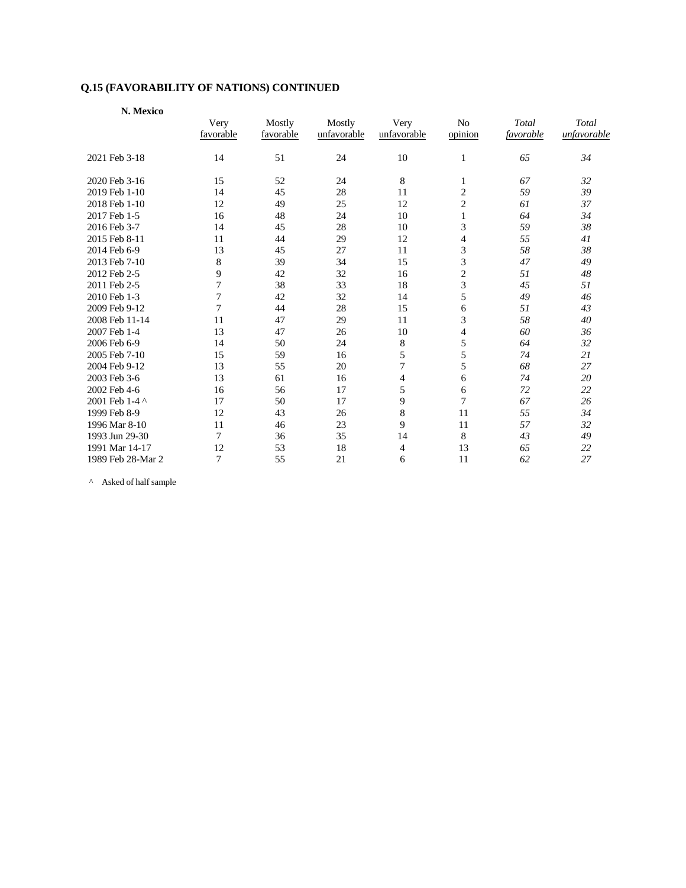| N. Mexico         |           |           |             |             |                |           |             |
|-------------------|-----------|-----------|-------------|-------------|----------------|-----------|-------------|
|                   | Very      | Mostly    | Mostly      | Very        | No             | Total     | Total       |
|                   | favorable | favorable | unfavorable | unfavorable | opinion        | favorable | unfavorable |
| 2021 Feb 3-18     | 14        | 51        | 24          | 10          | 1              | 65        | 34          |
| 2020 Feb 3-16     | 15        | 52        | 24          | 8           | 1              | 67        | 32          |
| 2019 Feb 1-10     | 14        | 45        | 28          | 11          | $\overline{c}$ | 59        | 39          |
| 2018 Feb 1-10     | 12        | 49        | 25          | 12          | $\mathbf{2}$   | 61        | 37          |
| 2017 Feb 1-5      | 16        | 48        | 24          | 10          | $\mathbf{1}$   | 64        | 34          |
| 2016 Feb 3-7      | 14        | 45        | 28          | 10          | 3              | 59        | 38          |
| 2015 Feb 8-11     | 11        | 44        | 29          | 12          | $\overline{4}$ | 55        | 41          |
| 2014 Feb 6-9      | 13        | 45        | 27          | 11          | 3              | 58        | 38          |
| 2013 Feb 7-10     | 8         | 39        | 34          | 15          | 3              | 47        | 49          |
| 2012 Feb 2-5      | 9         | 42        | 32          | 16          | $\mathbf{2}$   | 51        | 48          |
| 2011 Feb 2-5      | 7         | 38        | 33          | 18          | 3              | 45        | 51          |
| 2010 Feb 1-3      | 7         | 42        | 32          | 14          | 5              | 49        | 46          |
| 2009 Feb 9-12     | 7         | 44        | 28          | 15          | 6              | 51        | 43          |
| 2008 Feb 11-14    | 11        | 47        | 29          | 11          | 3              | 58        | 40          |
| 2007 Feb 1-4      | 13        | 47        | 26          | 10          | $\overline{4}$ | 60        | 36          |
| 2006 Feb 6-9      | 14        | 50        | 24          | 8           | 5              | 64        | 32          |
| 2005 Feb 7-10     | 15        | 59        | 16          | 5           | 5              | 74        | 21          |
| 2004 Feb 9-12     | 13        | 55        | 20          | 7           | 5              | 68        | 27          |
| 2003 Feb 3-6      | 13        | 61        | 16          | 4           | 6              | 74        | 20          |
| 2002 Feb 4-6      | 16        | 56        | 17          | 5           | 6              | 72        | 22          |
| 2001 Feb 1-4 ^    | 17        | 50        | 17          | 9           | 7              | 67        | 26          |
| 1999 Feb 8-9      | 12        | 43        | 26          | 8           | 11             | 55        | 34          |
| 1996 Mar 8-10     | 11        | 46        | 23          | 9           | 11             | 57        | 32          |
| 1993 Jun 29-30    | 7         | 36        | 35          | 14          | 8              | 43        | 49          |
| 1991 Mar 14-17    | 12        | 53        | 18          | 4           | 13             | 65        | 22          |
| 1989 Feb 28-Mar 2 | 7         | 55        | 21          | 6           | 11             | 62        | 27          |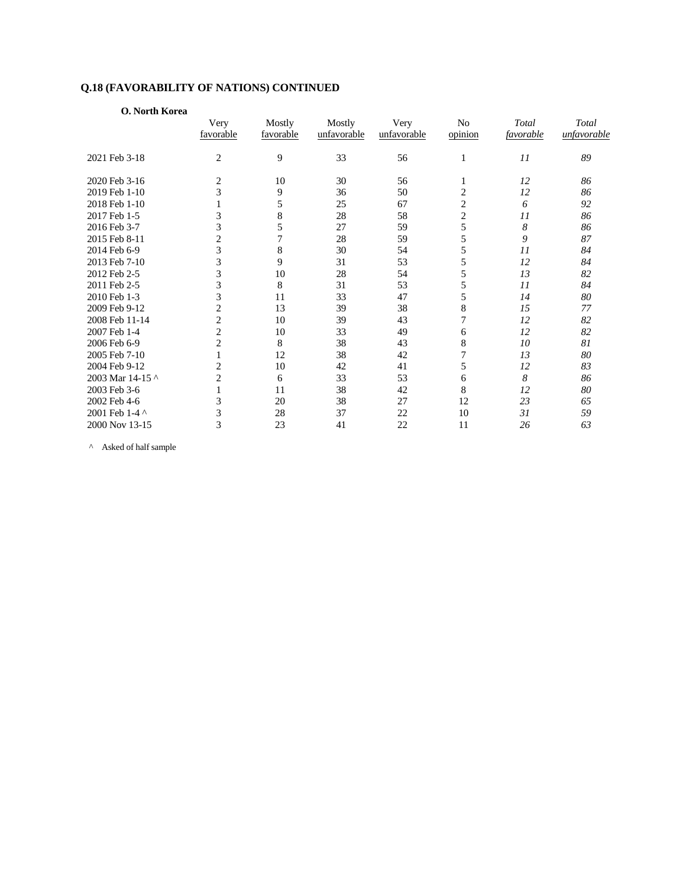| O. North Korea   |                |           |             |             |                |           |             |
|------------------|----------------|-----------|-------------|-------------|----------------|-----------|-------------|
|                  | Very           | Mostly    | Mostly      | Very        | No             | Total     | Total       |
|                  | favorable      | favorable | unfavorable | unfavorable | opinion        | favorable | unfavorable |
| 2021 Feb 3-18    | $\overline{2}$ | 9         | 33          | 56          | 1              | 11        | 89          |
| 2020 Feb 3-16    | $\overline{2}$ | 10        | 30          | 56          | 1              | 12        | 86          |
| 2019 Feb 1-10    | 3              | 9         | 36          | 50          | $\mathbf{2}$   | 12        | 86          |
| 2018 Feb 1-10    |                | 5         | 25          | 67          | $\mathbf{2}$   | 6         | 92          |
| 2017 Feb 1-5     | 3              | 8         | 28          | 58          | $\overline{c}$ | II        | 86          |
| 2016 Feb 3-7     | 3              | 5         | 27          | 59          | 5              | 8         | 86          |
| 2015 Feb 8-11    | $\overline{c}$ | 7         | 28          | 59          | 5              | 9         | 87          |
| 2014 Feb 6-9     | 3              | 8         | 30          | 54          | 5              | 11        | 84          |
| 2013 Feb 7-10    | 3              | 9         | 31          | 53          | 5              | 12        | 84          |
| 2012 Feb 2-5     | 3              | 10        | 28          | 54          | 5              | 13        | 82          |
| 2011 Feb 2-5     | 3              | 8         | 31          | 53          | 5              | 11        | 84          |
| 2010 Feb 1-3     | 3              | 11        | 33          | 47          | 5              | 14        | 80          |
| 2009 Feb 9-12    | $\overline{c}$ | 13        | 39          | 38          | 8              | 15        | 77          |
| 2008 Feb 11-14   | $\overline{c}$ | 10        | 39          | 43          | 7              | 12        | 82          |
| 2007 Feb 1-4     | $\overline{2}$ | 10        | 33          | 49          | 6              | 12        | 82          |
| 2006 Feb 6-9     | $\overline{2}$ | 8         | 38          | 43          | 8              | 10        | 81          |
| 2005 Feb 7-10    | 1              | 12        | 38          | 42          | 7              | 13        | 80          |
| 2004 Feb 9-12    | $\overline{2}$ | 10        | 42          | 41          | 5              | 12        | 83          |
| 2003 Mar 14-15 ^ | $\overline{c}$ | 6         | 33          | 53          | 6              | 8         | 86          |
| 2003 Feb 3-6     | 1              | 11        | 38          | 42          | 8              | 12        | 80          |
| 2002 Feb 4-6     | 3              | 20        | 38          | 27          | 12             | 23        | 65          |
| 2001 Feb 1-4 ^   | 3              | 28        | 37          | 22          | 10             | 31        | 59          |
| 2000 Nov 13-15   | 3              | 23        | 41          | 22          | 11             | 26        | 63          |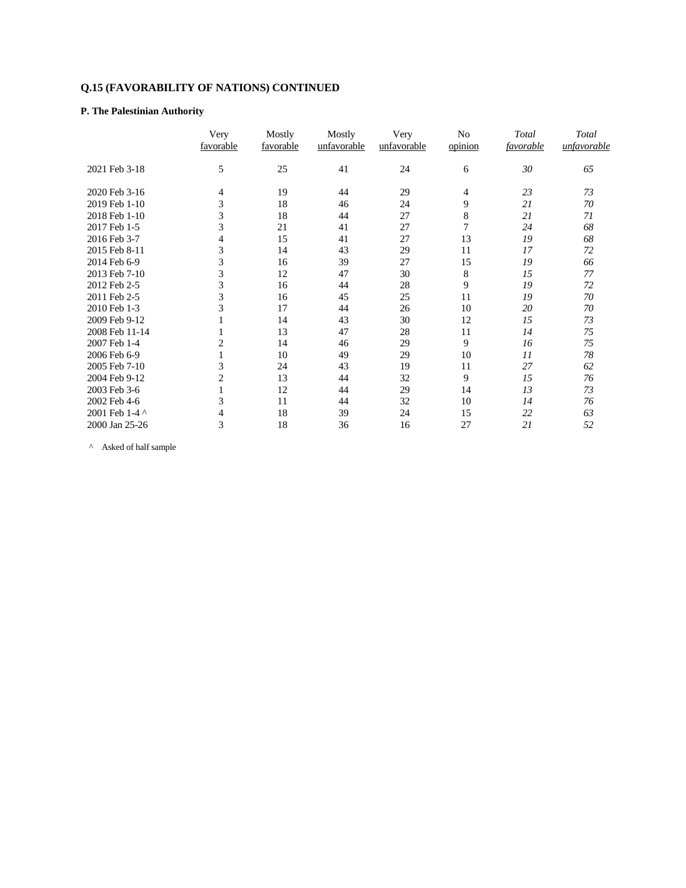## **P. The Palestinian Authority**

|                | Very      | Mostly    | Mostly      | Very        | No             | Total     | Total       |
|----------------|-----------|-----------|-------------|-------------|----------------|-----------|-------------|
|                | favorable | favorable | unfavorable | unfavorable | opinion        | favorable | unfavorable |
| 2021 Feb 3-18  | 5         | 25        | 41          | 24          | 6              | 30        | 65          |
| 2020 Feb 3-16  | 4         | 19        | 44          | 29          | $\overline{4}$ | 23        | 73          |
| 2019 Feb 1-10  | 3         | 18        | 46          | 24          | 9              | 21        | 70          |
| 2018 Feb 1-10  | 3         | 18        | 44          | 27          | 8              | 21        | 71          |
| 2017 Feb 1-5   | 3         | 21        | 41          | 27          | $\overline{7}$ | 24        | 68          |
| 2016 Feb 3-7   | 4         | 15        | 41          | 27          | 13             | 19        | 68          |
| 2015 Feb 8-11  | 3         | 14        | 43          | 29          | 11             | 17        | 72          |
| 2014 Feb 6-9   | 3         | 16        | 39          | 27          | 15             | 19        | 66          |
| 2013 Feb 7-10  | 3         | 12        | 47          | 30          | 8              | 15        | 77          |
| 2012 Feb 2-5   | 3         | 16        | 44          | 28          | 9              | 19        | 72          |
| 2011 Feb 2-5   | 3         | 16        | 45          | 25          | 11             | 19        | 70          |
| 2010 Feb 1-3   | 3         | 17        | 44          | 26          | 10             | 20        | 70          |
| 2009 Feb 9-12  |           | 14        | 43          | 30          | 12             | 15        | 73          |
| 2008 Feb 11-14 |           | 13        | 47          | 28          | 11             | 14        | 75          |
| 2007 Feb 1-4   | 2         | 14        | 46          | 29          | 9              | 16        | 75          |
| 2006 Feb 6-9   |           | 10        | 49          | 29          | 10             | 11        | 78          |
| 2005 Feb 7-10  | 3         | 24        | 43          | 19          | 11             | 27        | 62          |
| 2004 Feb 9-12  | 2         | 13        | 44          | 32          | 9              | 15        | 76          |
| 2003 Feb 3-6   |           | 12        | 44          | 29          | 14             | 13        | 73          |
| 2002 Feb 4-6   | 3         | 11        | 44          | 32          | 10             | 14        | 76          |
| 2001 Feb 1-4 ^ | 4         | 18        | 39          | 24          | 15             | 22        | 63          |
| 2000 Jan 25-26 | 3         | 18        | 36          | 16          | 27             | 21        | 52          |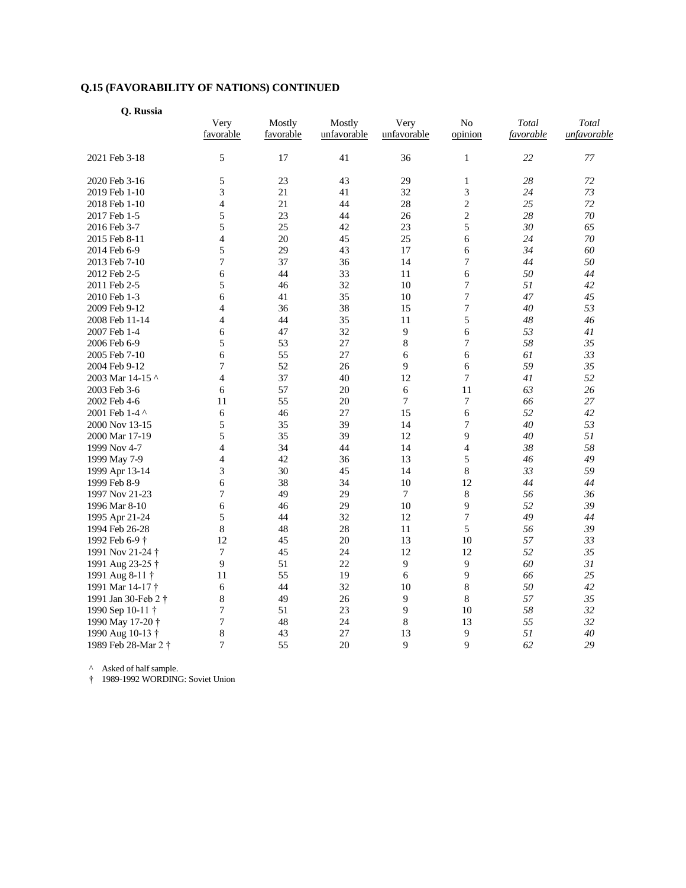| Q. Russia           |                   |                     |                       |                     |                           |                    |                      |  |
|---------------------|-------------------|---------------------|-----------------------|---------------------|---------------------------|--------------------|----------------------|--|
|                     | Very<br>favorable | Mostly<br>favorable | Mostly<br>unfavorable | Very<br>unfavorable | N <sub>o</sub><br>opinion | Total<br>favorable | Total<br>unfavorable |  |
| 2021 Feb 3-18       | 5                 | 17                  | 41                    | 36                  | 1                         | 22                 | 77                   |  |
| 2020 Feb 3-16       | 5                 | 23                  | 43                    | 29                  | $\mathbf{1}$              | 28                 | 72                   |  |
| 2019 Feb 1-10       | 3                 | 21                  | 41                    | 32                  | 3                         | 24                 | 73                   |  |
| 2018 Feb 1-10       | $\overline{4}$    | 21                  | 44                    | 28                  | $\mathbf{2}$              | 25                 | 72                   |  |
| 2017 Feb 1-5        | 5                 | 23                  | 44                    | 26                  | $\overline{2}$            | 28                 | 70                   |  |
| 2016 Feb 3-7        | 5                 | 25                  | 42                    | 23                  | 5                         | 30                 | 65                   |  |
| 2015 Feb 8-11       | 4                 | 20                  | 45                    | 25                  | 6                         | 24                 | 70                   |  |
| 2014 Feb 6-9        | 5                 | 29                  | 43                    | 17                  | 6                         | 34                 | 60                   |  |
| 2013 Feb 7-10       | 7                 | 37                  | 36                    | 14                  | $\sqrt{ }$                | 44                 | 50                   |  |
| 2012 Feb 2-5        | 6                 | 44                  | 33                    | 11                  | 6                         | 50                 | 44                   |  |
| 2011 Feb 2-5        | 5                 | 46                  | 32                    | 10                  | 7                         | 51                 | 42                   |  |
| 2010 Feb 1-3        | 6                 | 41                  | 35                    | 10                  | 7                         | 47                 | 45                   |  |
| 2009 Feb 9-12       | 4                 | 36                  | 38                    | 15                  | 7                         | 40                 | 53                   |  |
| 2008 Feb 11-14      | 4                 | 44                  | 35                    | 11                  | 5                         | 48                 | 46                   |  |
| 2007 Feb 1-4        | 6                 | 47                  | 32                    | 9                   | 6                         | 53                 | 41                   |  |
| 2006 Feb 6-9        | 5                 | 53                  | 27                    | 8                   | 7                         | 58                 | 35                   |  |
| 2005 Feb 7-10       | 6                 | 55                  | 27                    | 6                   | 6                         | 61                 | 33                   |  |
| 2004 Feb 9-12       | 7                 | 52                  | 26                    | 9                   | 6                         | 59                 | 35                   |  |
| 2003 Mar 14-15 ^    | 4                 | 37                  | 40                    | 12                  | 7                         | 41                 | 52                   |  |
| 2003 Feb 3-6        | 6                 | 57                  | 20                    | 6                   | 11                        | 63                 | 26                   |  |
| 2002 Feb 4-6        | 11                | 55                  | 20                    | 7                   | $\boldsymbol{7}$          | 66                 | 27                   |  |
| 2001 Feb 1-4 ^      | 6                 | 46                  | 27                    | 15                  | 6                         | 52                 | 42                   |  |
| 2000 Nov 13-15      | 5                 | 35                  | 39                    | 14                  | 7                         | 40                 | 53                   |  |
| 2000 Mar 17-19      | 5                 | 35                  | 39                    | 12                  | 9                         | 40                 | 51                   |  |
|                     | 4                 | 34                  | 44                    | 14                  | $\overline{4}$            | 38                 | 58                   |  |
| 1999 Nov 4-7        | 4                 | 42                  | 36                    | 13                  | 5                         | 46                 | 49                   |  |
| 1999 May 7-9        |                   |                     |                       |                     |                           |                    |                      |  |
| 1999 Apr 13-14      | 3                 | 30                  | 45                    | 14                  | 8                         | 33                 | 59                   |  |
| 1999 Feb 8-9        | 6                 | 38                  | 34                    | 10                  | 12                        | 44                 | 44                   |  |
| 1997 Nov 21-23      | 7                 | 49                  | 29<br>29              | $\tau$<br>10        | 8                         | 56                 | 36<br>39             |  |
| 1996 Mar 8-10       | 6                 | 46                  |                       |                     | 9                         | 52                 |                      |  |
| 1995 Apr 21-24      | 5                 | 44                  | 32                    | 12                  | 7                         | 49                 | 44                   |  |
| 1994 Feb 26-28      | 8                 | 48                  | 28                    | 11                  | 5                         | 56                 | 39                   |  |
| 1992 Feb 6-9 †      | 12                | 45                  | 20                    | 13                  | 10                        | 57                 | 33                   |  |
| 1991 Nov 21-24 †    | 7                 | 45                  | 24                    | 12                  | 12                        | 52                 | 35                   |  |
| 1991 Aug 23-25 †    | 9                 | 51                  | 22                    | 9                   | 9                         | 60                 | 31                   |  |
| 1991 Aug 8-11 †     | 11                | 55                  | 19                    | 6                   | 9                         | 66                 | 25                   |  |
| 1991 Mar 14-17 †    | 6                 | 44                  | 32                    | 10                  | 8                         | 50                 | 42                   |  |
| 1991 Jan 30-Feb 2 † | 8                 | 49                  | 26                    | 9                   | 8                         | 57                 | 35                   |  |
| 1990 Sep 10-11 †    | 7                 | 51                  | 23                    | 9                   | 10                        | 58                 | 32                   |  |
| 1990 May 17-20 †    | 7                 | 48                  | 24                    | 8                   | 13                        | 55                 | 32                   |  |
| 1990 Aug 10-13 †    | 8                 | 43                  | 27                    | 13                  | 9                         | 51                 | 40                   |  |
| 1989 Feb 28-Mar 2 † | 7                 | 55                  | 20                    | 9                   | $\mathbf Q$               | 62                 | 29                   |  |

^ Asked of half sample.

† 1989-1992 WORDING: Soviet Union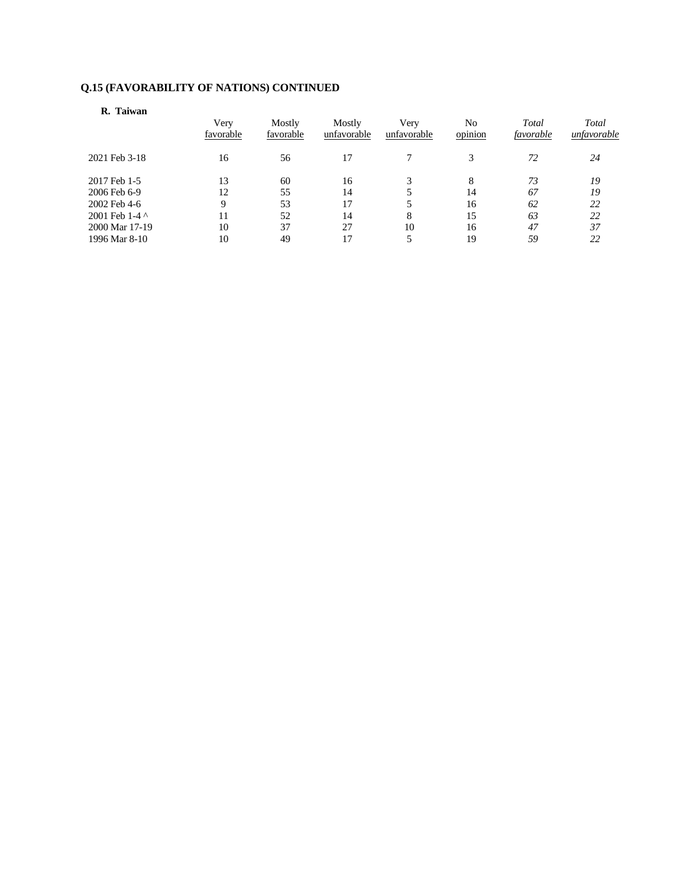## **R. Taiwan**

|                | Very<br>favorable | Mostly<br>favorable | Mostly<br>unfavorable | Very<br>unfavorable | No<br>opinion | Total<br>favorable | Total<br>unfavorable |
|----------------|-------------------|---------------------|-----------------------|---------------------|---------------|--------------------|----------------------|
| 2021 Feb 3-18  | 16                | 56                  | 17                    |                     | 3             | 72                 | 24                   |
| 2017 Feb 1-5   | 13                | 60                  | 16                    |                     | 8             | 73                 | 19                   |
| 2006 Feb 6-9   | 12                | 55                  | 14                    |                     | 14            | 67                 | 19                   |
| 2002 Feb 4-6   | Q                 | 53                  | 17                    |                     | 16            | 62                 | 22                   |
| 2001 Feb 1-4 ^ | 11                | 52                  | 14                    | 8                   | 15            | 63                 | 22                   |
| 2000 Mar 17-19 | 10                | 37                  | 27                    | 10                  | 16            | 47                 | 37                   |
| 1996 Mar 8-10  | 10                | 49                  | 17                    |                     | 19            | 59                 | 22                   |
|                |                   |                     |                       |                     |               |                    |                      |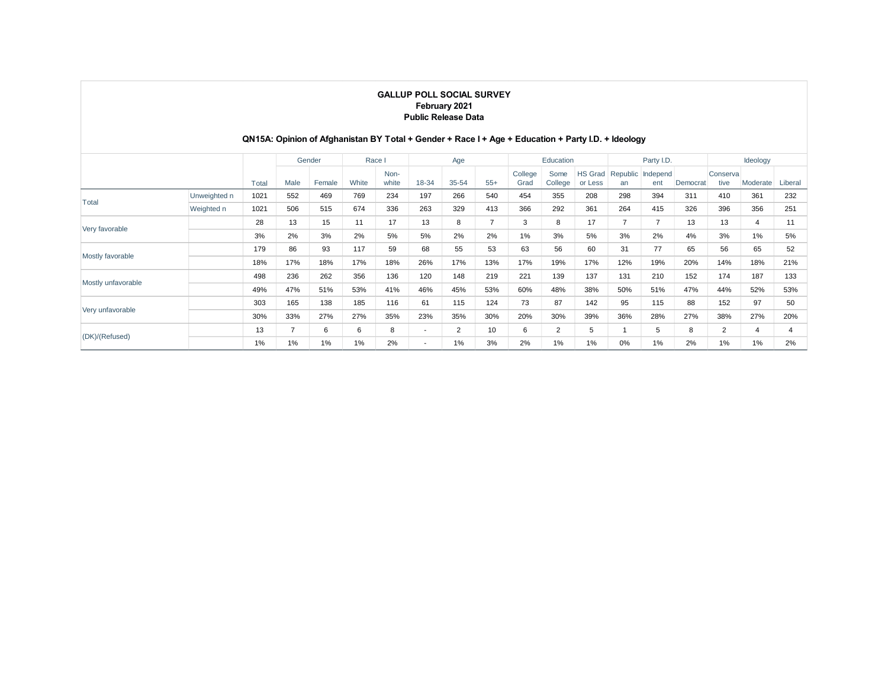## **QN15A: Opinion of Afghanistan BY Total + Gender + Race I + Age + Education + Party I.D. + Ideology**

|                    |              |       |      | Gender | Race I |               |                          | Age            |       |                 | Education       |                           |     | Party I.D.               |          |                   | Ideology |         |
|--------------------|--------------|-------|------|--------|--------|---------------|--------------------------|----------------|-------|-----------------|-----------------|---------------------------|-----|--------------------------|----------|-------------------|----------|---------|
|                    |              | Total | Male | Female | White  | Non-<br>white | 18-34                    | $35 - 54$      | $55+$ | College<br>Grad | Some<br>College | <b>HS Grad</b><br>or Less | an  | Republic Independ<br>ent | Democrat | Conserval<br>tive | Moderate | Liberal |
| Total              | Unweighted n | 1021  | 552  | 469    | 769    | 234           | 197                      | 266            | 540   | 454             | 355             | 208                       | 298 | 394                      | 311      | 410               | 361      | 232     |
|                    | Weighted n   | 1021  | 506  | 515    | 674    | 336           | 263                      | 329            | 413   | 366             | 292             | 361                       | 264 | 415                      | 326      | 396               | 356      | 251     |
| Very favorable     | 28           | 13    | 15   | 11     | 17     | 13            | 8                        | $\overline{7}$ | 3     | 8               | 17              | 7                         | 7   | 13                       | 13       | $\overline{4}$    | 11       |         |
|                    | 3%           | 2%    | 3%   | 2%     | 5%     | 5%            | 2%                       | 2%             | 1%    | 3%              | 5%              | 3%                        | 2%  | 4%                       | 3%       | 1%                | 5%       |         |
|                    | 179          | 86    | 93   | 117    | 59     | 68            | 55                       | 53             | 63    | 56              | 60              | 31                        | 77  | 65                       | 56       | 65                | 52       |         |
| Mostly favorable   |              | 18%   | 17%  | 18%    | 17%    | 18%           | 26%                      | 17%            | 13%   | 17%             | 19%             | 17%                       | 12% | 19%                      | 20%      | 14%               | 18%      | 21%     |
| Mostly unfavorable |              | 498   | 236  | 262    | 356    | 136           | 120                      | 148            | 219   | 221             | 139             | 137                       | 131 | 210                      | 152      | 174               | 187      | 133     |
|                    |              | 49%   | 47%  | 51%    | 53%    | 41%           | 46%                      | 45%            | 53%   | 60%             | 48%             | 38%                       | 50% | 51%                      | 47%      | 44%               | 52%      | 53%     |
|                    |              | 303   | 165  | 138    | 185    | 116           | 61                       | 115            | 124   | 73              | 87              | 142                       | 95  | 115                      | 88       | 152               | 97       | 50      |
| Very unfavorable   |              | 30%   | 33%  | 27%    | 27%    | 35%           | 23%                      | 35%            | 30%   | 20%             | 30%             | 39%                       | 36% | 28%                      | 27%      | 38%               | 27%      | 20%     |
|                    |              | 13    | 7    | 6      | 6      | 8             | $\overline{\phantom{a}}$ | $\overline{2}$ | 10    | 6               | $\overline{2}$  | 5                         |     | 5                        | 8        | $\overline{2}$    | 4        |         |
| (DK)/(Refused)     |              | 1%    | 1%   | 1%     | 1%     | 2%            | $\overline{\phantom{a}}$ | $1\%$          | 3%    | 2%              | $1\%$           | 1%                        | 0%  | 1%                       | 2%       | 1%                | 1%       | 2%      |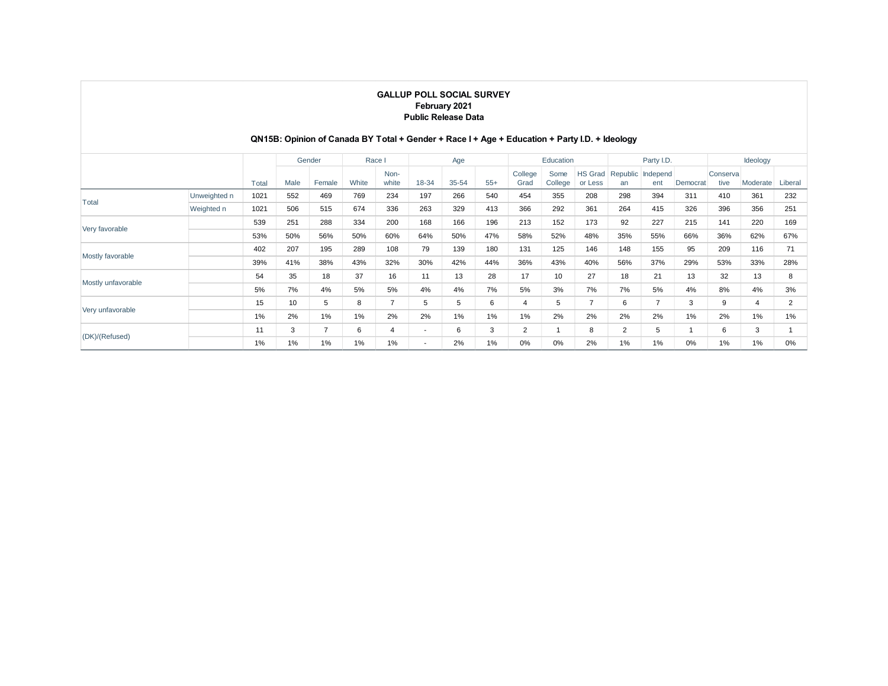## **QN15B: Opinion of Canada BY Total + Gender + Race I + Age + Education + Party I.D. + Ideology**

|                    |              |       |      | Gender         | Race I |                |                          | Age   |       |                 | Education       |                           |                | Party I.D.               |          |                  | Ideology       |         |
|--------------------|--------------|-------|------|----------------|--------|----------------|--------------------------|-------|-------|-----------------|-----------------|---------------------------|----------------|--------------------------|----------|------------------|----------------|---------|
|                    |              | Total | Male | Female         | White  | Non-<br>white  | 18-34                    | 35-54 | $55+$ | College<br>Grad | Some<br>College | <b>HS Grad</b><br>or Less | an             | Republic Independ<br>ent | Democrat | Conserva<br>tive | Moderate       | Liberal |
|                    | Unweighted n | 1021  | 552  | 469            | 769    | 234            | 197                      | 266   | 540   | 454             | 355             | 208                       | 298            | 394                      | 311      | 410              | 361            | 232     |
| Total              | Weighted n   | 1021  | 506  | 515            | 674    | 336            | 263                      | 329   | 413   | 366             | 292             | 361                       | 264            | 415                      | 326      | 396              | 356            | 251     |
|                    |              | 539   | 251  | 288            | 334    | 200            | 168                      | 166   | 196   | 213             | 152             | 173                       | 92             | 227                      | 215      | 141              | 220            | 169     |
| Very favorable     |              | 53%   | 50%  | 56%            | 50%    | 60%            | 64%                      | 50%   | 47%   | 58%             | 52%             | 48%                       | 35%            | 55%                      | 66%      | 36%              | 62%            | 67%     |
| Mostly favorable   |              | 402   | 207  | 195            | 289    | 108            | 79                       | 139   | 180   | 131             | 125             | 146                       | 148            | 155                      | 95       | 209              | 116            | 71      |
|                    |              | 39%   | 41%  | 38%            | 43%    | 32%            | 30%                      | 42%   | 44%   | 36%             | 43%             | 40%                       | 56%            | 37%                      | 29%      | 53%              | 33%            | 28%     |
| Mostly unfavorable |              | 54    | 35   | 18             | 37     | 16             | 11                       | 13    | 28    | 17              | 10              | 27                        | 18             | 21                       | 13       | 32               | 13             | 8       |
|                    |              | 5%    | 7%   | 4%             | 5%     | 5%             | 4%                       | 4%    | 7%    | 5%              | 3%              | 7%                        | 7%             | 5%                       | 4%       | 8%               | 4%             | 3%      |
|                    |              | 15    | 10   | 5              | 8      | $\overline{ }$ | 5                        | 5     | 6     | 4               | 5               | $\overline{7}$            | 6              | 7                        | 3        | 9                | $\overline{4}$ | 2       |
| Very unfavorable   |              | 1%    | 2%   | 1%             | 1%     | 2%             | 2%                       | $1\%$ | 1%    | 1%              | 2%              | 2%                        | 2%             | 2%                       | 1%       | 2%               | $1\%$          | 1%      |
| (DK)/(Refused)     |              | 11    | 3    | $\overline{7}$ | 6      | 4              | $\overline{\phantom{a}}$ | 6     | 3     | $\overline{2}$  | $\overline{ }$  | 8                         | $\overline{2}$ | 5                        |          | 6                | 3              |         |
|                    |              | 1%    | 1%   | 1%             | $1\%$  | 1%             | $\overline{\phantom{a}}$ | 2%    | 1%    | 0%              | 0%              | 2%                        | 1%             | 1%                       | 0%       | 1%               | 1%             | 0%      |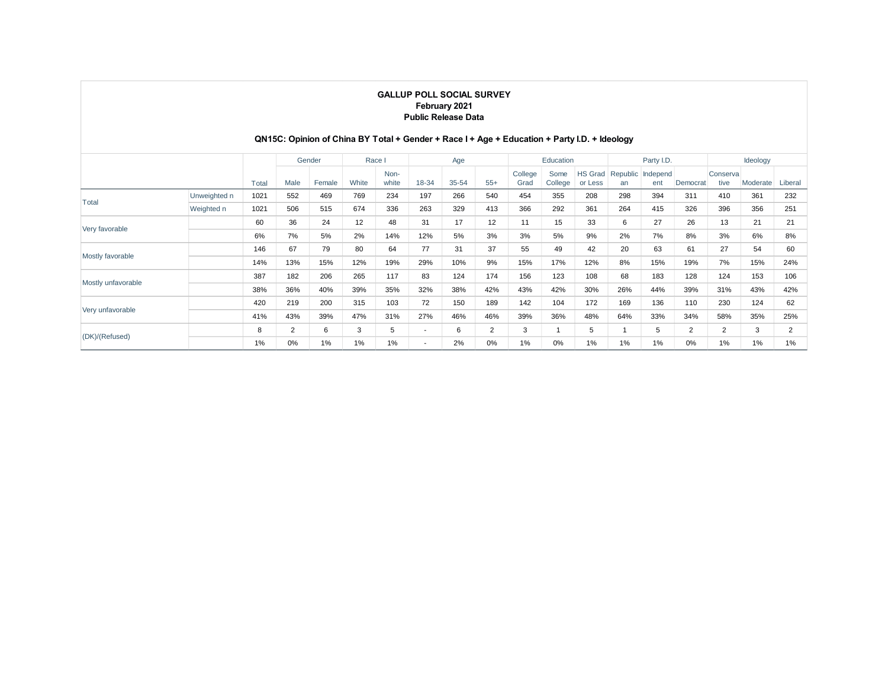## **QN15C: Opinion of China BY Total + Gender + Race I + Age + Education + Party I.D. + Ideology**

|                    |              |       |      | Gender | Race I |               |                          | Age       |       |                 | Education       |                           |     | Party I.D.               |          |                   | Ideology |         |
|--------------------|--------------|-------|------|--------|--------|---------------|--------------------------|-----------|-------|-----------------|-----------------|---------------------------|-----|--------------------------|----------|-------------------|----------|---------|
|                    |              | Total | Male | Female | White  | Non-<br>white | 18-34                    | $35 - 54$ | $55+$ | College<br>Grad | Some<br>College | <b>HS Grad</b><br>or Less | an  | Republic Independ<br>ent | Democrat | Conserval<br>tive | Moderate | Liberal |
|                    | Unweighted n | 1021  | 552  | 469    | 769    | 234           | 197                      | 266       | 540   | 454             | 355             | 208                       | 298 | 394                      | 311      | 410               | 361      | 232     |
| Total              | Weighted n   | 1021  | 506  | 515    | 674    | 336           | 263                      | 329       | 413   | 366             | 292             | 361                       | 264 | 415                      | 326      | 396               | 356      | 251     |
|                    |              | 60    | 36   | 24     | 12     | 48            | 31                       | 17        | 12    | 11              | 15              | 33                        | 6   | 27                       | 26       | 13                | 21       | 21      |
| Very favorable     |              | 6%    | 7%   | 5%     | 2%     | 14%           | 12%                      | 5%        | 3%    | 3%              | 5%              | 9%                        | 2%  | 7%                       | 8%       | 3%                | 6%       | 8%      |
|                    |              | 146   | 67   | 79     | 80     | 64            | 77                       | 31        | 37    | 55              | 49              | 42                        | 20  | 63                       | 61       | 27                | 54       | 60      |
| Mostly favorable   |              | 14%   | 13%  | 15%    | 12%    | 19%           | 29%                      | 10%       | 9%    | 15%             | 17%             | 12%                       | 8%  | 15%                      | 19%      | 7%                | 15%      | 24%     |
| Mostly unfavorable |              | 387   | 182  | 206    | 265    | 117           | 83                       | 124       | 174   | 156             | 123             | 108                       | 68  | 183                      | 128      | 124               | 153      | 106     |
|                    |              | 38%   | 36%  | 40%    | 39%    | 35%           | 32%                      | 38%       | 42%   | 43%             | 42%             | 30%                       | 26% | 44%                      | 39%      | 31%               | 43%      | 42%     |
|                    |              | 420   | 219  | 200    | 315    | 103           | 72                       | 150       | 189   | 142             | 104             | 172                       | 169 | 136                      | 110      | 230               | 124      | 62      |
| Very unfavorable   |              | 41%   | 43%  | 39%    | 47%    | 31%           | 27%                      | 46%       | 46%   | 39%             | 36%             | 48%                       | 64% | 33%                      | 34%      | 58%               | 35%      | 25%     |
| (DK)/(Refused)     |              | 8     | 2    | 6      | 3      | 5             | $\overline{\phantom{a}}$ | 6         | 2     | 3               |                 | 5                         |     | 5                        | 2        | $\overline{2}$    | 3        | 2       |
|                    |              | 1%    | 0%   | 1%     | $1\%$  | 1%            | $\overline{\phantom{a}}$ | 2%        | 0%    | 1%              | 0%              | 1%                        | 1%  | 1%                       | $0\%$    | 1%                | 1%       | 1%      |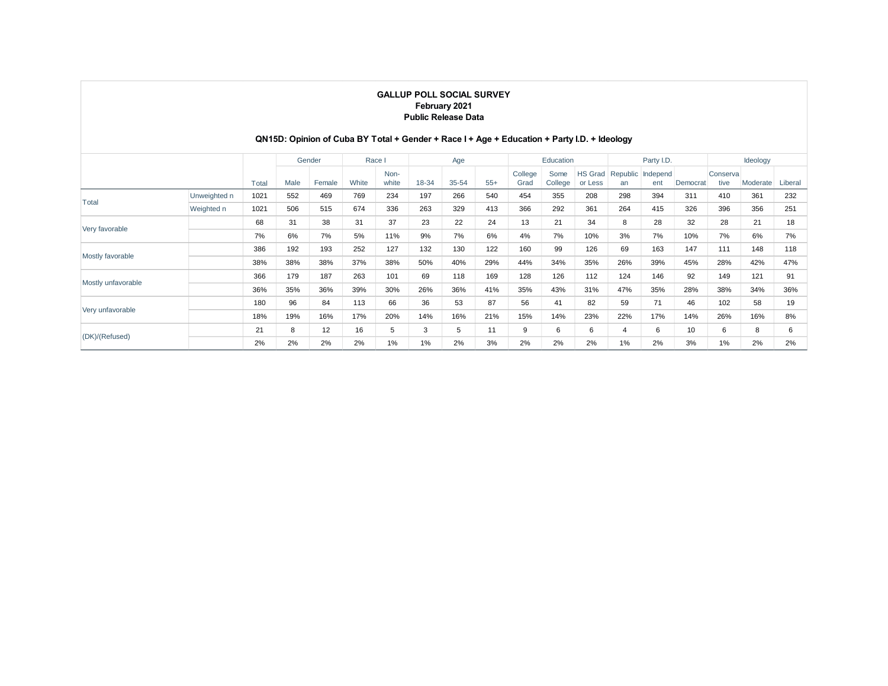## **QN15D: Opinion of Cuba BY Total + Gender + Race I + Age + Education + Party I.D. + Ideology**

|                    |              |       |      | Gender |       | Race I        |       | Age       |       |                 | Education       |                           |     | Party I.D.               |          |                   | Ideology |         |
|--------------------|--------------|-------|------|--------|-------|---------------|-------|-----------|-------|-----------------|-----------------|---------------------------|-----|--------------------------|----------|-------------------|----------|---------|
|                    |              | Total | Male | Female | White | Non-<br>white | 18-34 | $35 - 54$ | $55+$ | College<br>Grad | Some<br>College | <b>HS Grad</b><br>or Less | an  | Republic Independ<br>ent | Democrat | Conserval<br>tive | Moderate | Liberal |
|                    | Unweighted n | 1021  | 552  | 469    | 769   | 234           | 197   | 266       | 540   | 454             | 355             | 208                       | 298 | 394                      | 311      | 410               | 361      | 232     |
| Total              | Weighted n   | 1021  | 506  | 515    | 674   | 336           | 263   | 329       | 413   | 366             | 292             | 361                       | 264 | 415                      | 326      | 396               | 356      | 251     |
| Very favorable     |              | 68    | 31   | 38     | 31    | 37            | 23    | 22        | 24    | 13              | 21              | 34                        | 8   | 28                       | 32       | 28                | 21       | 18      |
|                    |              | 7%    | 6%   | 7%     | 5%    | 11%           | 9%    | 7%        | 6%    | 4%              | 7%              | 10%                       | 3%  | 7%                       | 10%      | 7%                | 6%       | 7%      |
| Mostly favorable   |              | 386   | 192  | 193    | 252   | 127           | 132   | 130       | 122   | 160             | 99              | 126                       | 69  | 163                      | 147      | 111               | 148      | 118     |
|                    |              | 38%   | 38%  | 38%    | 37%   | 38%           | 50%   | 40%       | 29%   | 44%             | 34%             | 35%                       | 26% | 39%                      | 45%      | 28%               | 42%      | 47%     |
| Mostly unfavorable |              | 366   | 179  | 187    | 263   | 101           | 69    | 118       | 169   | 128             | 126             | 112                       | 124 | 146                      | 92       | 149               | 121      | 91      |
|                    |              | 36%   | 35%  | 36%    | 39%   | 30%           | 26%   | 36%       | 41%   | 35%             | 43%             | 31%                       | 47% | 35%                      | 28%      | 38%               | 34%      | 36%     |
| Very unfavorable   |              | 180   | 96   | 84     | 113   | 66            | 36    | 53        | 87    | 56              | 41              | 82                        | 59  | 71                       | 46       | 102               | 58       | 19      |
|                    |              | 18%   | 19%  | 16%    | 17%   | 20%           | 14%   | 16%       | 21%   | 15%             | 14%             | 23%                       | 22% | 17%                      | 14%      | 26%               | 16%      | 8%      |
| (DK)/(Refused)     |              | 21    | 8    | 12     | 16    | 5             | 3     | 5         | 11    | 9               | 6               | 6                         | 4   | 6                        | 10       | 6                 | 8        | 6       |
|                    |              | 2%    | 2%   | 2%     | 2%    | 1%            | 1%    | 2%        | 3%    | 2%              | 2%              | 2%                        | 1%  | 2%                       | 3%       | 1%                | 2%       | 2%      |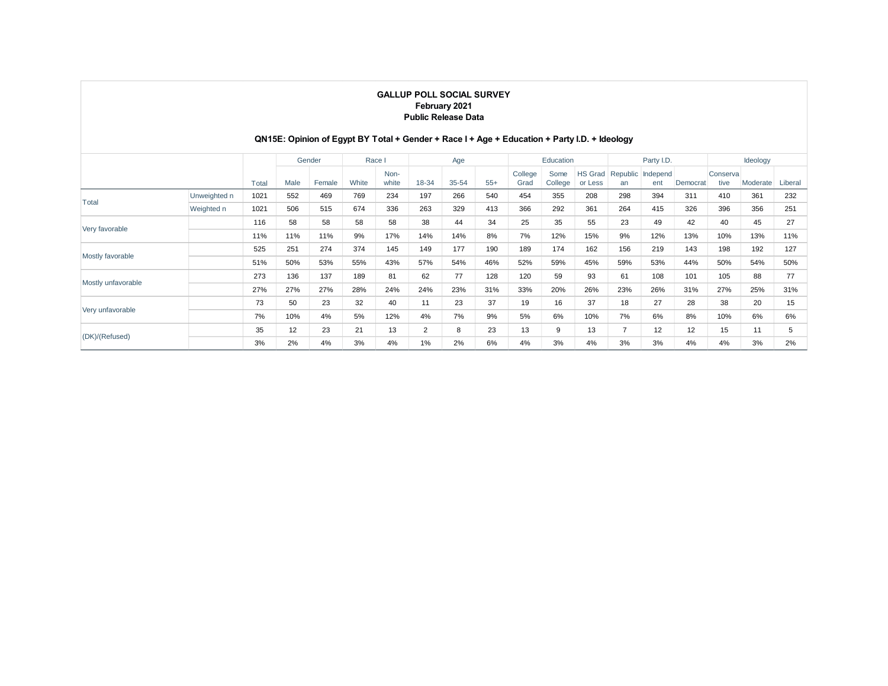## **QN15E: Opinion of Egypt BY Total + Gender + Race I + Age + Education + Party I.D. + Ideology**

|                    |              |       |      | Gender | Race I |               |       | Age   |       |                 | Education       |                           |                | Party I.D.      |          |                   | Ideology |         |
|--------------------|--------------|-------|------|--------|--------|---------------|-------|-------|-------|-----------------|-----------------|---------------------------|----------------|-----------------|----------|-------------------|----------|---------|
|                    |              | Total | Male | Female | White  | Non-<br>white | 18-34 | 35-54 | $55+$ | College<br>Grad | Some<br>College | <b>HS Grad</b><br>or Less | Republic<br>an | Independ<br>ent | Democrat | Conserval<br>tive | Moderate | Liberal |
| Total              | Unweighted n | 1021  | 552  | 469    | 769    | 234           | 197   | 266   | 540   | 454             | 355             | 208                       | 298            | 394             | 311      | 410               | 361      | 232     |
|                    | Weighted n   | 1021  | 506  | 515    | 674    | 336           | 263   | 329   | 413   | 366             | 292             | 361                       | 264            | 415             | 326      | 396               | 356      | 251     |
|                    |              | 116   | 58   | 58     | 58     | 58            | 38    | 44    | 34    | 25              | 35              | 55                        | 23             | 49              | 42       | 40                | 45       | 27      |
| Very favorable     |              | 11%   | 11%  | 11%    | 9%     | 17%           | 14%   | 14%   | 8%    | 7%              | 12%             | 15%                       | 9%             | 12%             | 13%      | 10%               | 13%      | 11%     |
|                    |              | 525   | 251  | 274    | 374    | 145           | 149   | 177   | 190   | 189             | 174             | 162                       | 156            | 219             | 143      | 198               | 192      | 127     |
| Mostly favorable   |              | 51%   | 50%  | 53%    | 55%    | 43%           | 57%   | 54%   | 46%   | 52%             | 59%             | 45%                       | 59%            | 53%             | 44%      | 50%               | 54%      | 50%     |
|                    |              | 273   | 136  | 137    | 189    | 81            | 62    | 77    | 128   | 120             | 59              | 93                        | 61             | 108             | 101      | 105               | 88       | 77      |
| Mostly unfavorable |              | 27%   | 27%  | 27%    | 28%    | 24%           | 24%   | 23%   | 31%   | 33%             | 20%             | 26%                       | 23%            | 26%             | 31%      | 27%               | 25%      | 31%     |
|                    |              | 73    | 50   | 23     | 32     | 40            | 11    | 23    | 37    | 19              | 16              | 37                        | 18             | 27              | 28       | 38                | 20       | 15      |
| Very unfavorable   |              | 7%    | 10%  | 4%     | 5%     | 12%           | 4%    | 7%    | 9%    | 5%              | 6%              | 10%                       | 7%             | 6%              | 8%       | 10%               | 6%       | 6%      |
| (DK)/(Refused)     |              | 35    | 12   | 23     | 21     | 13            | 2     | 8     | 23    | 13              | 9               | 13                        | 7              | 12              | 12       | 15                | 11       | 5       |
|                    |              | 3%    | 2%   | 4%     | 3%     | 4%            | 1%    | 2%    | 6%    | 4%              | 3%              | 4%                        | 3%             | 3%              | 4%       | 4%                | 3%       | 2%      |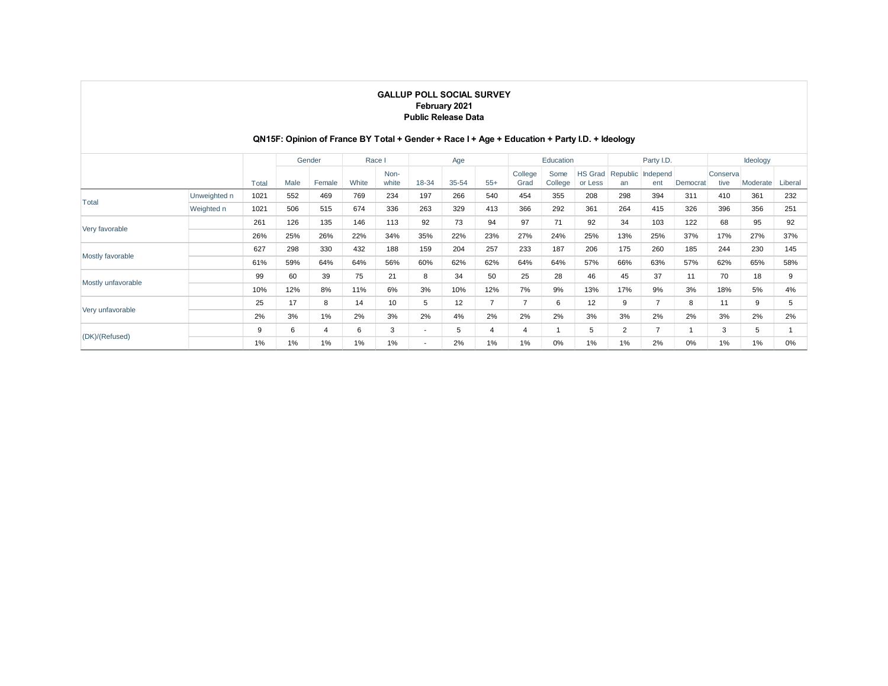## **QN15F: Opinion of France BY Total + Gender + Race I + Age + Education + Party I.D. + Ideology**

|                    |              |       |      | Gender | Race I |               |                          | Age   |                |                 | Education       |                           |                | Party I.D.      |          |                  | Ideology |         |
|--------------------|--------------|-------|------|--------|--------|---------------|--------------------------|-------|----------------|-----------------|-----------------|---------------------------|----------------|-----------------|----------|------------------|----------|---------|
|                    |              | Total | Male | Female | White  | Non-<br>white | 18-34                    | 35-54 | $55+$          | College<br>Grad | Some<br>College | <b>HS Grad</b><br>or Less | Republic<br>an | Independ<br>ent | Democrat | Conserva<br>tive | Moderate | Liberal |
|                    | Unweighted n | 1021  | 552  | 469    | 769    | 234           | 197                      | 266   | 540            | 454             | 355             | 208                       | 298            | 394             | 311      | 410              | 361      | 232     |
| Total              | Weighted n   | 1021  | 506  | 515    | 674    | 336           | 263                      | 329   | 413            | 366             | 292             | 361                       | 264            | 415             | 326      | 396              | 356      | 251     |
|                    |              | 261   | 126  | 135    | 146    | 113           | 92                       | 73    | 94             | 97              | 71              | 92                        | 34             | 103             | 122      | 68               | 95       | 92      |
| Very favorable     |              | 26%   | 25%  | 26%    | 22%    | 34%           | 35%                      | 22%   | 23%            | 27%             | 24%             | 25%                       | 13%            | 25%             | 37%      | 17%              | 27%      | 37%     |
|                    |              | 627   | 298  | 330    | 432    | 188           | 159                      | 204   | 257            | 233             | 187             | 206                       | 175            | 260             | 185      | 244              | 230      | 145     |
| Mostly favorable   |              | 61%   | 59%  | 64%    | 64%    | 56%           | 60%                      | 62%   | 62%            | 64%             | 64%             | 57%                       | 66%            | 63%             | 57%      | 62%              | 65%      | 58%     |
|                    |              | 99    | 60   | 39     | 75     | 21            | 8                        | 34    | 50             | 25              | 28              | 46                        | 45             | 37              | 11       | 70               | 18       | 9       |
| Mostly unfavorable |              | 10%   | 12%  | 8%     | 11%    | 6%            | 3%                       | 10%   | 12%            | 7%              | 9%              | 13%                       | 17%            | 9%              | 3%       | 18%              | 5%       | 4%      |
|                    |              | 25    | 17   | 8      | 14     | 10            | 5                        | 12    | $\overline{7}$ | 7               | 6               | 12                        | 9              | $\overline{7}$  | 8        | 11               | 9        | 5       |
| Very unfavorable   |              | 2%    | 3%   | 1%     | 2%     | 3%            | 2%                       | 4%    | 2%             | 2%              | 2%              | 3%                        | 3%             | 2%              | 2%       | 3%               | 2%       | 2%      |
| (DK)/(Refused)     |              | 9     | 6    | 4      | 6      | 3             | $\overline{\phantom{a}}$ | 5     | 4              | $\overline{4}$  |                 | 5                         | 2              | $\overline{7}$  |          | 3                | 5        |         |
|                    |              | 1%    | 1%   | 1%     | 1%     | 1%            | $\overline{\phantom{a}}$ | 2%    | 1%             | 1%              | $0\%$           | 1%                        | 1%             | 2%              | 0%       | 1%               | 1%       | 0%      |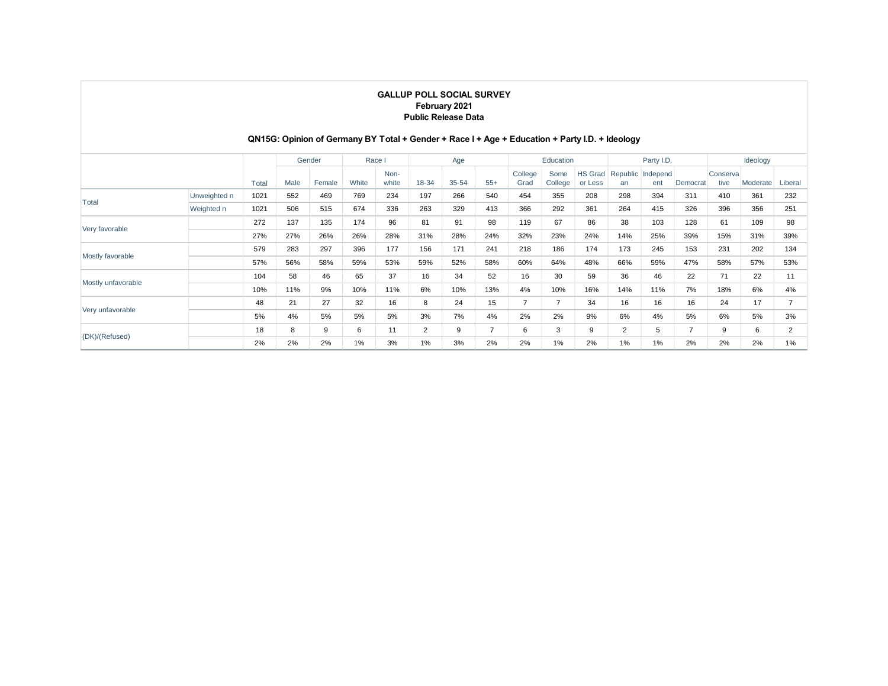## **QN15G: Opinion of Germany BY Total + Gender + Race I + Age + Education + Party I.D. + Ideology**

|                    |              |       |      | Gender |       | Race I        |                | Age   |                |                 | Education       |                           |                | Party I.D.      |          |                   | Ideology |         |
|--------------------|--------------|-------|------|--------|-------|---------------|----------------|-------|----------------|-----------------|-----------------|---------------------------|----------------|-----------------|----------|-------------------|----------|---------|
|                    |              | Total | Male | Female | White | Non-<br>white | 18-34          | 35-54 | $55+$          | College<br>Grad | Some<br>College | <b>HS Grad</b><br>or Less | Republic<br>an | Independ<br>ent | Democrat | Conserval<br>tive | Moderate | Liberal |
| Total              | Unweighted n | 1021  | 552  | 469    | 769   | 234           | 197            | 266   | 540            | 454             | 355             | 208                       | 298            | 394             | 311      | 410               | 361      | 232     |
|                    | Weighted n   | 1021  | 506  | 515    | 674   | 336           | 263            | 329   | 413            | 366             | 292             | 361                       | 264            | 415             | 326      | 396               | 356      | 251     |
| Very favorable     |              | 272   | 137  | 135    | 174   | 96            | 81             | 91    | 98             | 119             | 67              | 86                        | 38             | 103             | 128      | 61                | 109      | 98      |
|                    |              | 27%   | 27%  | 26%    | 26%   | 28%           | 31%            | 28%   | 24%            | 32%             | 23%             | 24%                       | 14%            | 25%             | 39%      | 15%               | 31%      | 39%     |
|                    |              | 579   | 283  | 297    | 396   | 177           | 156            | 171   | 241            | 218             | 186             | 174                       | 173            | 245             | 153      | 231               | 202      | 134     |
| Mostly favorable   |              | 57%   | 56%  | 58%    | 59%   | 53%           | 59%            | 52%   | 58%            | 60%             | 64%             | 48%                       | 66%            | 59%             | 47%      | 58%               | 57%      | 53%     |
|                    |              | 104   | 58   | 46     | 65    | 37            | 16             | 34    | 52             | 16              | 30              | 59                        | 36             | 46              | 22       | 71                | 22       | 11      |
| Mostly unfavorable |              | 10%   | 11%  | 9%     | 10%   | 11%           | 6%             | 10%   | 13%            | 4%              | 10%             | 16%                       | 14%            | 11%             | 7%       | 18%               | 6%       | 4%      |
|                    |              | 48    | 21   | 27     | 32    | 16            | 8              | 24    | 15             | $\overline{7}$  | $\overline{ }$  | 34                        | 16             | 16              | 16       | 24                | 17       |         |
| Very unfavorable   |              | 5%    | 4%   | 5%     | 5%    | 5%            | 3%             | 7%    | 4%             | 2%              | 2%              | 9%                        | 6%             | 4%              | 5%       | 6%                | 5%       | 3%      |
| (DK)/(Refused)     |              | 18    | 8    | 9      | 6     | 11            | $\overline{2}$ | 9     | $\overline{7}$ | 6               | 3               | 9                         | 2              | 5               |          | 9                 | 6        | 2       |
|                    |              | 2%    | 2%   | 2%     | $1\%$ | 3%            | 1%             | 3%    | 2%             | 2%              | 1%              | 2%                        | 1%             | 1%              | 2%       | 2%                | 2%       | 1%      |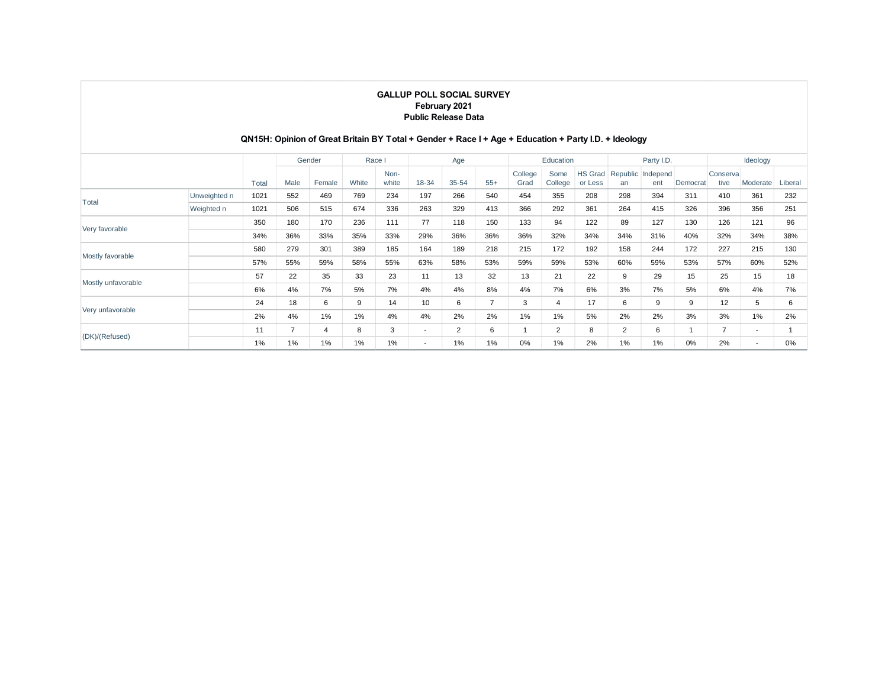## **QN15H: Opinion of Great Britain BY Total + Gender + Race I + Age + Education + Party I.D. + Ideology**

|                    |              |       |      | Gender | Race I |               |                          | Age            |                |                 | Education       |                           |                | Party I.D.      |          |                   | Ideology                 |         |
|--------------------|--------------|-------|------|--------|--------|---------------|--------------------------|----------------|----------------|-----------------|-----------------|---------------------------|----------------|-----------------|----------|-------------------|--------------------------|---------|
|                    |              | Total | Male | Female | White  | Non-<br>white | 18-34                    | 35-54          | $55+$          | College<br>Grad | Some<br>College | <b>HS Grad</b><br>or Less | Republic<br>an | Independ<br>ent | Democrat | Conserval<br>tive | Moderate                 | Liberal |
| Total              | Unweighted n | 1021  | 552  | 469    | 769    | 234           | 197                      | 266            | 540            | 454             | 355             | 208                       | 298            | 394             | 311      | 410               | 361                      | 232     |
|                    | Weighted n   | 1021  | 506  | 515    | 674    | 336           | 263                      | 329            | 413            | 366             | 292             | 361                       | 264            | 415             | 326      | 396               | 356                      | 251     |
| Very favorable     |              | 350   | 180  | 170    | 236    | 111           | 77                       | 118            | 150            | 133             | 94              | 122                       | 89             | 127             | 130      | 126               | 121                      | 96      |
|                    |              | 34%   | 36%  | 33%    | 35%    | 33%           | 29%                      | 36%            | 36%            | 36%             | 32%             | 34%                       | 34%            | 31%             | 40%      | 32%               | 34%                      | 38%     |
|                    |              | 580   | 279  | 301    | 389    | 185           | 164                      | 189            | 218            | 215             | 172             | 192                       | 158            | 244             | 172      | 227               | 215                      | 130     |
| Mostly favorable   |              | 57%   | 55%  | 59%    | 58%    | 55%           | 63%                      | 58%            | 53%            | 59%             | 59%             | 53%                       | 60%            | 59%             | 53%      | 57%               | 60%                      | 52%     |
|                    |              | 57    | 22   | 35     | 33     | 23            | 11                       | 13             | 32             | 13              | 21              | 22                        | 9              | 29              | 15       | 25                | 15                       | 18      |
| Mostly unfavorable |              | 6%    | 4%   | 7%     | 5%     | 7%            | 4%                       | 4%             | 8%             | 4%              | 7%              | 6%                        | 3%             | 7%              | 5%       | 6%                | 4%                       | 7%      |
|                    |              | 24    | 18   | 6      | 9      | 14            | 10                       | 6              | $\overline{7}$ | 3               | $\overline{4}$  | 17                        | 6              | 9               | 9        | 12                | 5                        | 6       |
| Very unfavorable   |              | 2%    | 4%   | 1%     | $1\%$  | 4%            | 4%                       | 2%             | 2%             | 1%              | 1%              | 5%                        | 2%             | 2%              | 3%       | 3%                | 1%                       | 2%      |
| (DK)/(Refused)     |              | 11    | 7    | 4      | 8      | 3             | $\overline{\phantom{a}}$ | $\overline{2}$ | 6              |                 | $\overline{2}$  | 8                         | $\overline{2}$ | 6               |          | $\overline{7}$    | $\overline{\phantom{a}}$ |         |
|                    |              | 1%    | 1%   | 1%     | $1\%$  | 1%            | $\overline{\phantom{a}}$ | 1%             | 1%             | 0%              | 1%              | 2%                        | 1%             | 1%              | 0%       | 2%                | $\overline{\phantom{a}}$ | 0%      |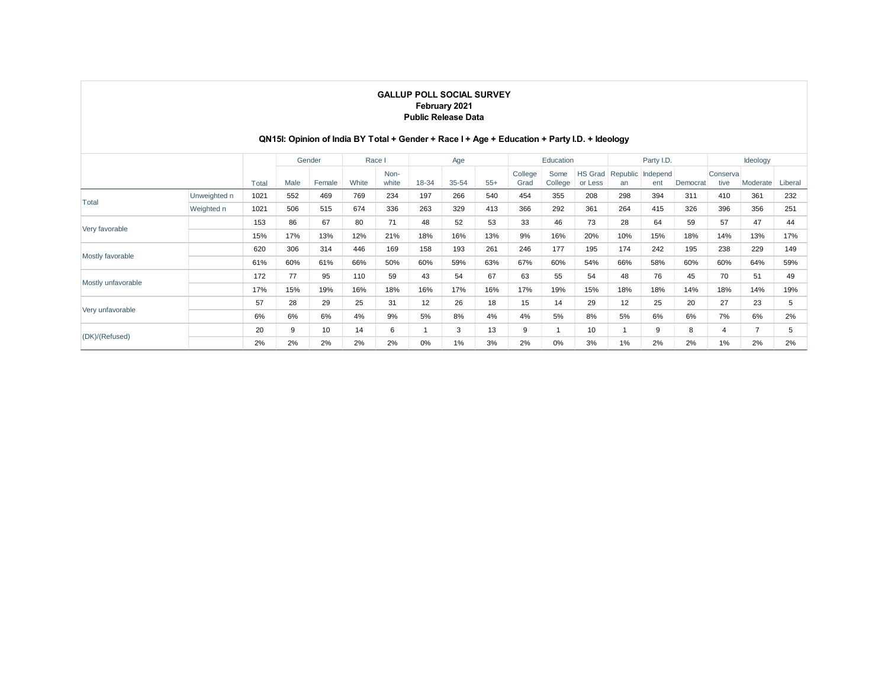## **QN15I: Opinion of India BY Total + Gender + Race I + Age + Education + Party I.D. + Ideology**

|                    |              |       |      | Gender | Race I |               |       | Age       |       |                 | Education       |                           |     | Party I.D.               |          |                   | Ideology |         |
|--------------------|--------------|-------|------|--------|--------|---------------|-------|-----------|-------|-----------------|-----------------|---------------------------|-----|--------------------------|----------|-------------------|----------|---------|
|                    |              | Total | Male | Female | White  | Non-<br>white | 18-34 | $35 - 54$ | $55+$ | College<br>Grad | Some<br>College | <b>HS Grad</b><br>or Less | an  | Republic Independ<br>ent | Democrat | Conserval<br>tive | Moderate | Liberal |
| Total              | Unweighted n | 1021  | 552  | 469    | 769    | 234           | 197   | 266       | 540   | 454             | 355             | 208                       | 298 | 394                      | 311      | 410               | 361      | 232     |
|                    | Weighted n   | 1021  | 506  | 515    | 674    | 336           | 263   | 329       | 413   | 366             | 292             | 361                       | 264 | 415                      | 326      | 396               | 356      | 251     |
|                    |              | 153   | 86   | 67     | 80     | 71            | 48    | 52        | 53    | 33              | 46              | 73                        | 28  | 64                       | 59       | 57                | 47       | 44      |
| Very favorable     |              | 15%   | 17%  | 13%    | 12%    | 21%           | 18%   | 16%       | 13%   | 9%              | 16%             | 20%                       | 10% | 15%                      | 18%      | 14%               | 13%      | 17%     |
|                    |              | 620   | 306  | 314    | 446    | 169           | 158   | 193       | 261   | 246             | 177             | 195                       | 174 | 242                      | 195      | 238               | 229      | 149     |
| Mostly favorable   |              | 61%   | 60%  | 61%    | 66%    | 50%           | 60%   | 59%       | 63%   | 67%             | 60%             | 54%                       | 66% | 58%                      | 60%      | 60%               | 64%      | 59%     |
| Mostly unfavorable |              | 172   | 77   | 95     | 110    | 59            | 43    | 54        | 67    | 63              | 55              | 54                        | 48  | 76                       | 45       | 70                | 51       | 49      |
|                    |              | 17%   | 15%  | 19%    | 16%    | 18%           | 16%   | 17%       | 16%   | 17%             | 19%             | 15%                       | 18% | 18%                      | 14%      | 18%               | 14%      | 19%     |
|                    |              | 57    | 28   | 29     | 25     | 31            | 12    | 26        | 18    | 15              | 14              | 29                        | 12  | 25                       | 20       | 27                | 23       | 5       |
| Very unfavorable   |              | 6%    | 6%   | 6%     | 4%     | 9%            | 5%    | 8%        | 4%    | 4%              | 5%              | 8%                        | 5%  | 6%                       | 6%       | 7%                | 6%       | 2%      |
| (DK)/(Refused)     |              | 20    | 9    | 10     | 14     | 6             |       | 3         | 13    | 9               |                 | 10                        |     | 9                        | 8        | 4                 | 7        | 5       |
|                    |              | 2%    | 2%   | 2%     | 2%     | 2%            | 0%    | $1\%$     | 3%    | 2%              | 0%              | 3%                        | 1%  | 2%                       | 2%       | 1%                | 2%       | 2%      |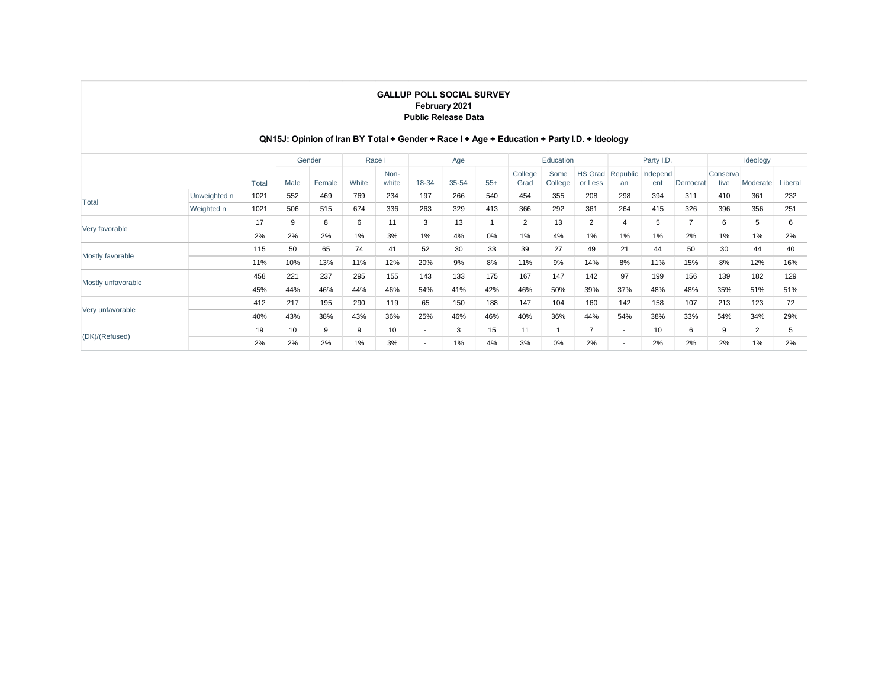## **QN15J: Opinion of Iran BY Total + Gender + Race I + Age + Education + Party I.D. + Ideology**

|                    |              |       |      | Gender |       | Race I        |                          | Age       |       |                 | Education       |                           |                          | Party I.D.               |          |                  | Ideology |         |
|--------------------|--------------|-------|------|--------|-------|---------------|--------------------------|-----------|-------|-----------------|-----------------|---------------------------|--------------------------|--------------------------|----------|------------------|----------|---------|
|                    |              | Total | Male | Female | White | Non-<br>white | 18-34                    | $35 - 54$ | $55+$ | College<br>Grad | Some<br>College | <b>HS Grad</b><br>or Less | an                       | Republic Independ<br>ent | Democrat | Conserva<br>tive | Moderate | Liberal |
|                    | Unweighted n | 1021  | 552  | 469    | 769   | 234           | 197                      | 266       | 540   | 454             | 355             | 208                       | 298                      | 394                      | 311      | 410              | 361      | 232     |
| Total              | Weighted n   | 1021  | 506  | 515    | 674   | 336           | 263                      | 329       | 413   | 366             | 292             | 361                       | 264                      | 415                      | 326      | 396              | 356      | 251     |
| Very favorable     |              | 17    | 9    | 8      | 6     | 11            | 3                        | 13        |       | $\overline{2}$  | 13              | 2                         | 4                        | 5                        |          | 6                | 5        | 6       |
|                    |              | 2%    | 2%   | 2%     | $1\%$ | 3%            | 1%                       | 4%        | 0%    | $1\%$           | 4%              | 1%                        | 1%                       | 1%                       | 2%       | 1%               | 1%       | 2%      |
| Mostly favorable   |              | 115   | 50   | 65     | 74    | 41            | 52                       | 30        | 33    | 39              | 27              | 49                        | 21                       | 44                       | 50       | 30               | 44       | 40      |
|                    |              | 11%   | 10%  | 13%    | 11%   | 12%           | 20%                      | 9%        | 8%    | 11%             | 9%              | 14%                       | 8%                       | 11%                      | 15%      | 8%               | 12%      | 16%     |
| Mostly unfavorable |              | 458   | 221  | 237    | 295   | 155           | 143                      | 133       | 175   | 167             | 147             | 142                       | 97                       | 199                      | 156      | 139              | 182      | 129     |
|                    |              | 45%   | 44%  | 46%    | 44%   | 46%           | 54%                      | 41%       | 42%   | 46%             | 50%             | 39%                       | 37%                      | 48%                      | 48%      | 35%              | 51%      | 51%     |
| Very unfavorable   |              | 412   | 217  | 195    | 290   | 119           | 65                       | 150       | 188   | 147             | 104             | 160                       | 142                      | 158                      | 107      | 213              | 123      | 72      |
|                    |              | 40%   | 43%  | 38%    | 43%   | 36%           | 25%                      | 46%       | 46%   | 40%             | 36%             | 44%                       | 54%                      | 38%                      | 33%      | 54%              | 34%      | 29%     |
| (DK)/(Refused)     |              | 19    | 10   | 9      | 9     | 10            | $\overline{\phantom{a}}$ | 3         | 15    | 11              | 1               | $\overline{7}$            | $\overline{\phantom{a}}$ | 10                       | 6        | 9                | 2        | 5       |
|                    |              | 2%    | 2%   | 2%     | $1\%$ | 3%            | $\overline{\phantom{a}}$ | 1%        | 4%    | 3%              | 0%              | 2%                        | $\overline{\phantom{a}}$ | 2%                       | 2%       | 2%               | 1%       | 2%      |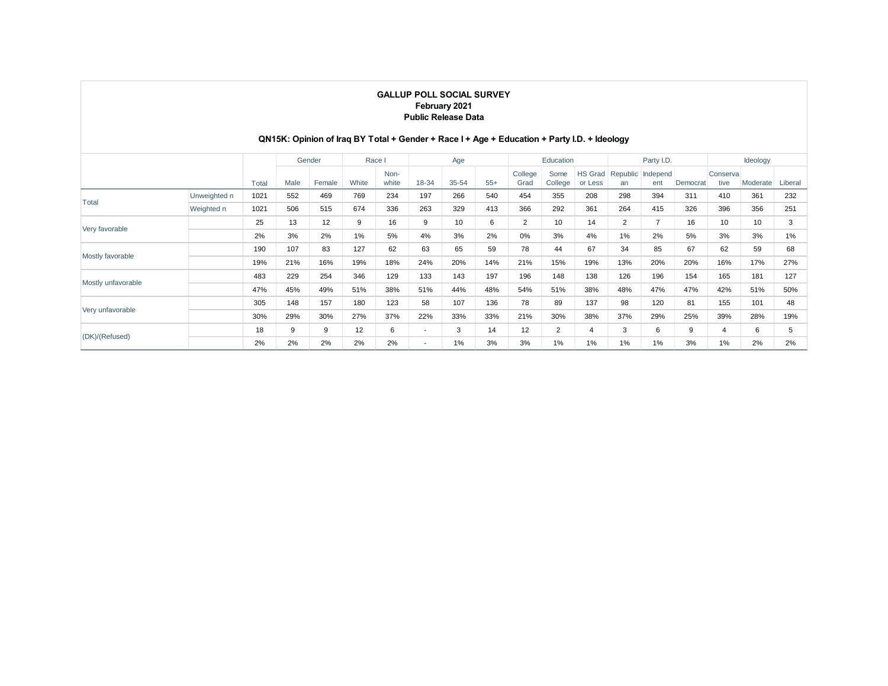## **QN15K: Opinion of Iraq BY Total + Gender + Race I + Age + Education + Party I.D. + Ideology**

|                    |              |       |      | Gender | Race I |               |                          | Age       |       |                 | Education       |                           |     | Party I.D.               |          |                   | Ideology |         |
|--------------------|--------------|-------|------|--------|--------|---------------|--------------------------|-----------|-------|-----------------|-----------------|---------------------------|-----|--------------------------|----------|-------------------|----------|---------|
|                    |              | Total | Male | Female | White  | Non-<br>white | 18-34                    | $35 - 54$ | $55+$ | College<br>Grad | Some<br>College | <b>HS Grad</b><br>or Less | an  | Republic Independ<br>ent | Democrat | Conserval<br>tive | Moderate | Liberal |
|                    | Unweighted n | 1021  | 552  | 469    | 769    | 234           | 197                      | 266       | 540   | 454             | 355             | 208                       | 298 | 394                      | 311      | 410               | 361      | 232     |
| Total              | Weighted n   | 1021  | 506  | 515    | 674    | 336           | 263                      | 329       | 413   | 366             | 292             | 361                       | 264 | 415                      | 326      | 396               | 356      | 251     |
|                    |              | 25    | 13   | 12     | 9      | 16            | 9                        | 10        | 6     | $\overline{2}$  | 10              | 14                        | 2   | $\overline{ }$           | 16       | 10                | 10       | 3       |
| Very favorable     |              | 2%    | 3%   | 2%     | $1\%$  | 5%            | 4%                       | 3%        | 2%    | 0%              | 3%              | 4%                        | 1%  | 2%                       | 5%       | 3%                | 3%       | 1%      |
|                    |              | 190   | 107  | 83     | 127    | 62            | 63                       | 65        | 59    | 78              | 44              | 67                        | 34  | 85                       | 67       | 62                | 59       | 68      |
| Mostly favorable   |              | 19%   | 21%  | 16%    | 19%    | 18%           | 24%                      | 20%       | 14%   | 21%             | 15%             | 19%                       | 13% | 20%                      | 20%      | 16%               | 17%      | 27%     |
|                    |              | 483   | 229  | 254    | 346    | 129           | 133                      | 143       | 197   | 196             | 148             | 138                       | 126 | 196                      | 154      | 165               | 181      | 127     |
| Mostly unfavorable |              | 47%   | 45%  | 49%    | 51%    | 38%           | 51%                      | 44%       | 48%   | 54%             | 51%             | 38%                       | 48% | 47%                      | 47%      | 42%               | 51%      | 50%     |
|                    |              | 305   | 148  | 157    | 180    | 123           | 58                       | 107       | 136   | 78              | 89              | 137                       | 98  | 120                      | 81       | 155               | 101      | 48      |
| Very unfavorable   |              | 30%   | 29%  | 30%    | 27%    | 37%           | 22%                      | 33%       | 33%   | 21%             | 30%             | 38%                       | 37% | 29%                      | 25%      | 39%               | 28%      | 19%     |
|                    |              | 18    | 9    | 9      | 12     | 6             | $\overline{\phantom{a}}$ | 3         | 14    | 12              | $\overline{2}$  | 4                         | 3   | 6                        | 9        | 4                 | 6        | 5       |
| (DK)/(Refused)     |              | 2%    | 2%   | 2%     | 2%     | 2%            | $\overline{\phantom{a}}$ | $1\%$     | 3%    | 3%              | 1%              | 1%                        | 1%  | 1%                       | 3%       | 1%                | 2%       | 2%      |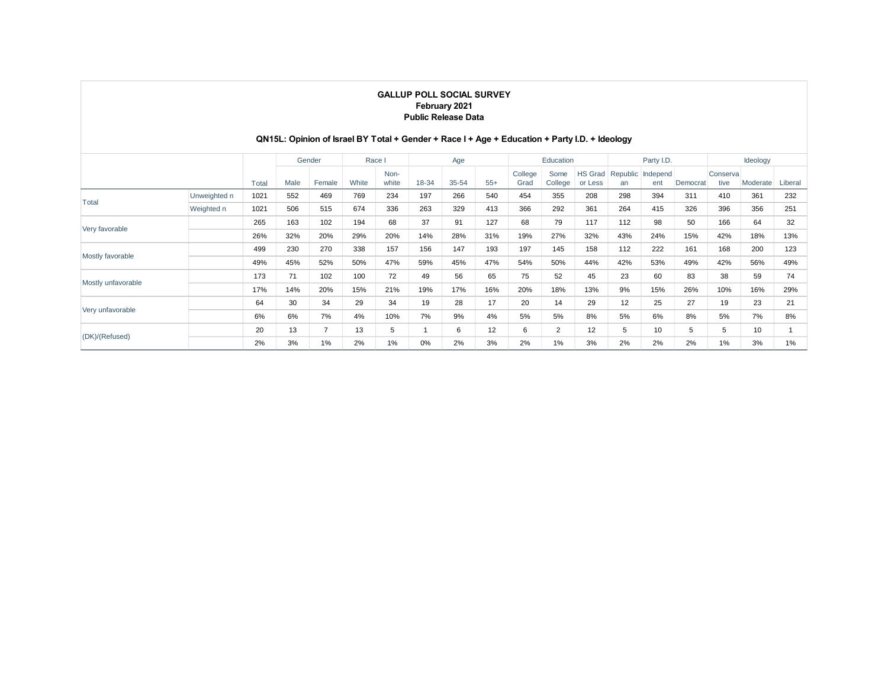## **QN15L: Opinion of Israel BY Total + Gender + Race I + Age + Education + Party I.D. + Ideology**

|                    |              |       |      | Gender         |       | Race I        |       | Age   |       |                 | Education       |                           |                | Party I.D.      |          |                  | Ideology |         |
|--------------------|--------------|-------|------|----------------|-------|---------------|-------|-------|-------|-----------------|-----------------|---------------------------|----------------|-----------------|----------|------------------|----------|---------|
|                    |              | Total | Male | Female         | White | Non-<br>white | 18-34 | 35-54 | $55+$ | College<br>Grad | Some<br>College | <b>HS Grad</b><br>or Less | Republic<br>an | Independ<br>ent | Democrat | Conserva<br>tive | Moderate | Liberal |
|                    | Unweighted n | 1021  | 552  | 469            | 769   | 234           | 197   | 266   | 540   | 454             | 355             | 208                       | 298            | 394             | 311      | 410              | 361      | 232     |
| Total              | Weighted n   | 1021  | 506  | 515            | 674   | 336           | 263   | 329   | 413   | 366             | 292             | 361                       | 264            | 415             | 326      | 396              | 356      | 251     |
|                    |              | 265   | 163  | 102            | 194   | 68            | 37    | 91    | 127   | 68              | 79              | 117                       | 112            | 98              | 50       | 166              | 64       | 32      |
| Very favorable     |              | 26%   | 32%  | 20%            | 29%   | 20%           | 14%   | 28%   | 31%   | 19%             | 27%             | 32%                       | 43%            | 24%             | 15%      | 42%              | 18%      | 13%     |
|                    |              | 499   | 230  | 270            | 338   | 157           | 156   | 147   | 193   | 197             | 145             | 158                       | 112            | 222             | 161      | 168              | 200      | 123     |
| Mostly favorable   |              | 49%   | 45%  | 52%            | 50%   | 47%           | 59%   | 45%   | 47%   | 54%             | 50%             | 44%                       | 42%            | 53%             | 49%      | 42%              | 56%      | 49%     |
| Mostly unfavorable |              | 173   | 71   | 102            | 100   | 72            | 49    | 56    | 65    | 75              | 52              | 45                        | 23             | 60              | 83       | 38               | 59       | 74      |
|                    |              | 17%   | 14%  | 20%            | 15%   | 21%           | 19%   | 17%   | 16%   | 20%             | 18%             | 13%                       | 9%             | 15%             | 26%      | 10%              | 16%      | 29%     |
| Very unfavorable   |              | 64    | 30   | 34             | 29    | 34            | 19    | 28    | 17    | 20              | 14              | 29                        | 12             | 25              | 27       | 19               | 23       | 21      |
|                    |              | 6%    | 6%   | 7%             | 4%    | 10%           | 7%    | 9%    | 4%    | 5%              | 5%              | 8%                        | 5%             | 6%              | 8%       | 5%               | 7%       | 8%      |
| (DK)/(Refused)     |              | 20    | 13   | $\overline{7}$ | 13    | 5             |       | 6     | 12    | 6               | $\overline{2}$  | 12                        | 5              | 10              | 5        | 5                | 10       |         |
|                    |              | 2%    | 3%   | 1%             | 2%    | 1%            | 0%    | 2%    | 3%    | 2%              | 1%              | 3%                        | 2%             | 2%              | 2%       | 1%               | 3%       | 1%      |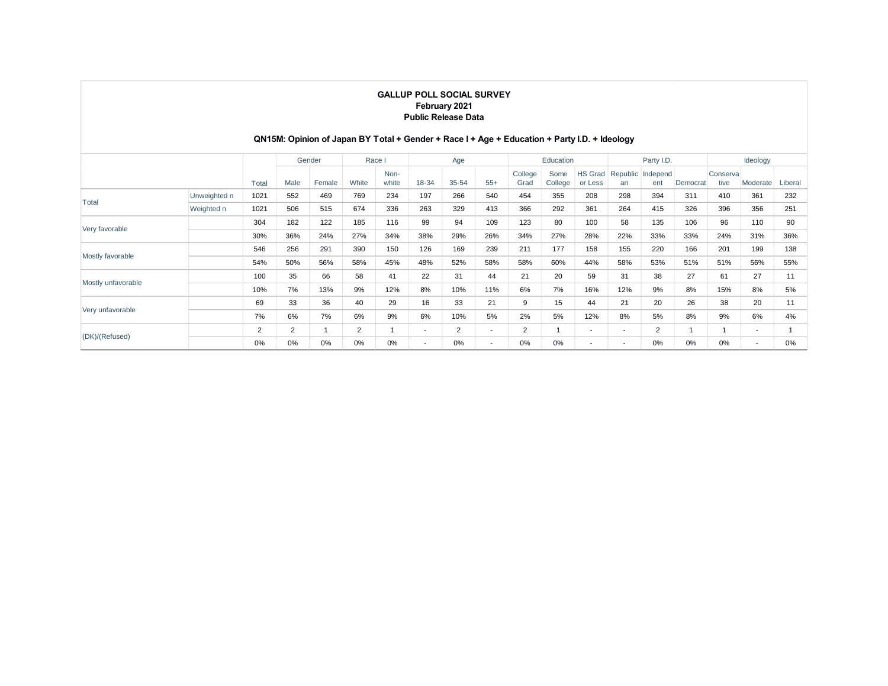## **QN15M: Opinion of Japan BY Total + Gender + Race I + Age + Education + Party I.D. + Ideology**

|                    |              |       |      | Gender |       | Race I        |                          | Age   |                          |                 | Education       |                           |                | Party I.D.      |          |                   | Ideology                 |         |
|--------------------|--------------|-------|------|--------|-------|---------------|--------------------------|-------|--------------------------|-----------------|-----------------|---------------------------|----------------|-----------------|----------|-------------------|--------------------------|---------|
|                    |              | Total | Male | Female | White | Non-<br>white | 18-34                    | 35-54 | $55+$                    | College<br>Grad | Some<br>College | <b>HS Grad</b><br>or Less | Republic<br>an | Independ<br>ent | Democrat | Conserval<br>tive | Moderate                 | Liberal |
| Total              | Unweighted n | 1021  | 552  | 469    | 769   | 234           | 197                      | 266   | 540                      | 454             | 355             | 208                       | 298            | 394             | 311      | 410               | 361                      | 232     |
|                    | Weighted n   | 1021  | 506  | 515    | 674   | 336           | 263                      | 329   | 413                      | 366             | 292             | 361                       | 264            | 415             | 326      | 396               | 356                      | 251     |
|                    |              | 304   | 182  | 122    | 185   | 116           | 99                       | 94    | 109                      | 123             | 80              | 100                       | 58             | 135             | 106      | 96                | 110                      | 90      |
| Very favorable     |              | 30%   | 36%  | 24%    | 27%   | 34%           | 38%                      | 29%   | 26%                      | 34%             | 27%             | 28%                       | 22%            | 33%             | 33%      | 24%               | 31%                      | 36%     |
|                    |              | 546   | 256  | 291    | 390   | 150           | 126                      | 169   | 239                      | 211             | 177             | 158                       | 155            | 220             | 166      | 201               | 199                      | 138     |
| Mostly favorable   |              | 54%   | 50%  | 56%    | 58%   | 45%           | 48%                      | 52%   | 58%                      | 58%             | 60%             | 44%                       | 58%            | 53%             | 51%      | 51%               | 56%                      | 55%     |
|                    |              | 100   | 35   | 66     | 58    | 41            | 22                       | 31    | 44                       | 21              | 20              | 59                        | 31             | 38              | 27       | 61                | 27                       | 11      |
| Mostly unfavorable |              | 10%   | 7%   | 13%    | 9%    | 12%           | 8%                       | 10%   | 11%                      | 6%              | 7%              | 16%                       | 12%            | 9%              | 8%       | 15%               | 8%                       | 5%      |
|                    |              | 69    | 33   | 36     | 40    | 29            | 16                       | 33    | 21                       | 9               | 15              | 44                        | 21             | 20              | 26       | 38                | 20                       | 11      |
| Very unfavorable   |              | 7%    | 6%   | 7%     | 6%    | 9%            | 6%                       | 10%   | 5%                       | 2%              | 5%              | 12%                       | 8%             | 5%              | 8%       | 9%                | 6%                       | 4%      |
|                    |              | 2     | 2    |        | 2     |               | $\overline{\phantom{a}}$ | 2     | $\overline{\phantom{a}}$ | $\overline{2}$  |                 | $\overline{\phantom{a}}$  | ٠              | $\overline{2}$  |          | 1                 | $\overline{\phantom{a}}$ |         |
| (DK)/(Refused)     |              | 0%    | 0%   | 0%     | $0\%$ | 0%            | $\overline{\phantom{a}}$ | 0%    | $\overline{\phantom{a}}$ | 0%              | 0%              | $\overline{\phantom{a}}$  | ٠              | 0%              | 0%       | 0%                | $\overline{\phantom{a}}$ | 0%      |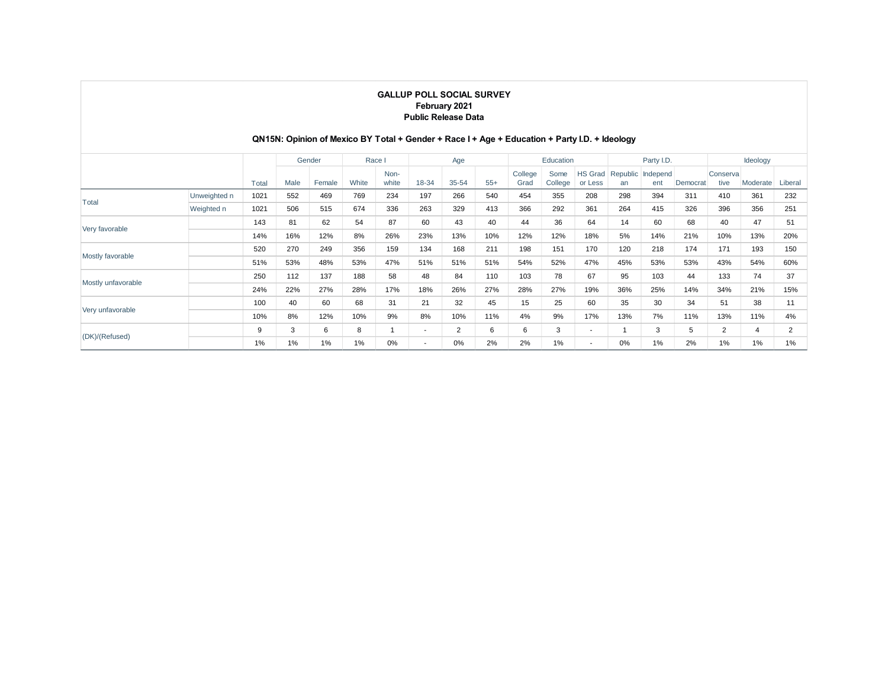## **QN15N: Opinion of Mexico BY Total + Gender + Race I + Age + Education + Party I.D. + Ideology**

|                    |              |       |      | Gender | Race I |               |                          | Age            |       |                 | Education       |                           | Party I.D. |                          |          | Ideology          |          |                |
|--------------------|--------------|-------|------|--------|--------|---------------|--------------------------|----------------|-------|-----------------|-----------------|---------------------------|------------|--------------------------|----------|-------------------|----------|----------------|
|                    |              | Total | Male | Female | White  | Non-<br>white | 18-34                    | $35 - 54$      | $55+$ | College<br>Grad | Some<br>College | <b>HS Grad</b><br>or Less | an         | Republic Independ<br>ent | Democrat | Conserval<br>tive | Moderate | Liberal        |
| Total              | Unweighted n | 1021  | 552  | 469    | 769    | 234           | 197                      | 266            | 540   | 454             | 355             | 208                       | 298        | 394                      | 311      | 410               | 361      | 232            |
|                    | Weighted n   | 1021  | 506  | 515    | 674    | 336           | 263                      | 329            | 413   | 366             | 292             | 361                       | 264        | 415                      | 326      | 396               | 356      | 251            |
| Very favorable     |              | 143   | 81   | 62     | 54     | 87            | 60                       | 43             | 40    | 44              | 36              | 64                        | 14         | 60                       | 68       | 40                | 47       | 51             |
|                    |              | 14%   | 16%  | 12%    | 8%     | 26%           | 23%                      | 13%            | 10%   | 12%             | 12%             | 18%                       | 5%         | 14%                      | 21%      | 10%               | 13%      | 20%            |
|                    |              | 520   | 270  | 249    | 356    | 159           | 134                      | 168            | 211   | 198             | 151             | 170                       | 120        | 218                      | 174      | 171               | 193      | 150            |
| Mostly favorable   |              | 51%   | 53%  | 48%    | 53%    | 47%           | 51%                      | 51%            | 51%   | 54%             | 52%             | 47%                       | 45%        | 53%                      | 53%      | 43%               | 54%      | 60%            |
| Mostly unfavorable |              | 250   | 112  | 137    | 188    | 58            | 48                       | 84             | 110   | 103             | 78              | 67                        | 95         | 103                      | 44       | 133               | 74       | 37             |
|                    |              | 24%   | 22%  | 27%    | 28%    | 17%           | 18%                      | 26%            | 27%   | 28%             | 27%             | 19%                       | 36%        | 25%                      | 14%      | 34%               | 21%      | 15%            |
|                    |              | 100   | 40   | 60     | 68     | 31            | 21                       | 32             | 45    | 15              | 25              | 60                        | 35         | 30                       | 34       | 51                | 38       | 11             |
| Very unfavorable   |              | 10%   | 8%   | 12%    | 10%    | 9%            | 8%                       | 10%            | 11%   | 4%              | 9%              | 17%                       | 13%        | 7%                       | 11%      | 13%               | 11%      | 4%             |
|                    |              | 9     | 3    | 6      | 8      |               | $\overline{\phantom{a}}$ | $\overline{2}$ | 6     | 6               | 3               | $\overline{\phantom{a}}$  |            | 3                        | 5        | $\overline{2}$    | 4        | $\overline{2}$ |
| (DK)/(Refused)     |              | 1%    | 1%   | 1%     | 1%     | 0%            | $\overline{\phantom{a}}$ | 0%             | 2%    | 2%              | $1\%$           | $\sim$                    | 0%         | 1%                       | 2%       | 1%                | 1%       | 1%             |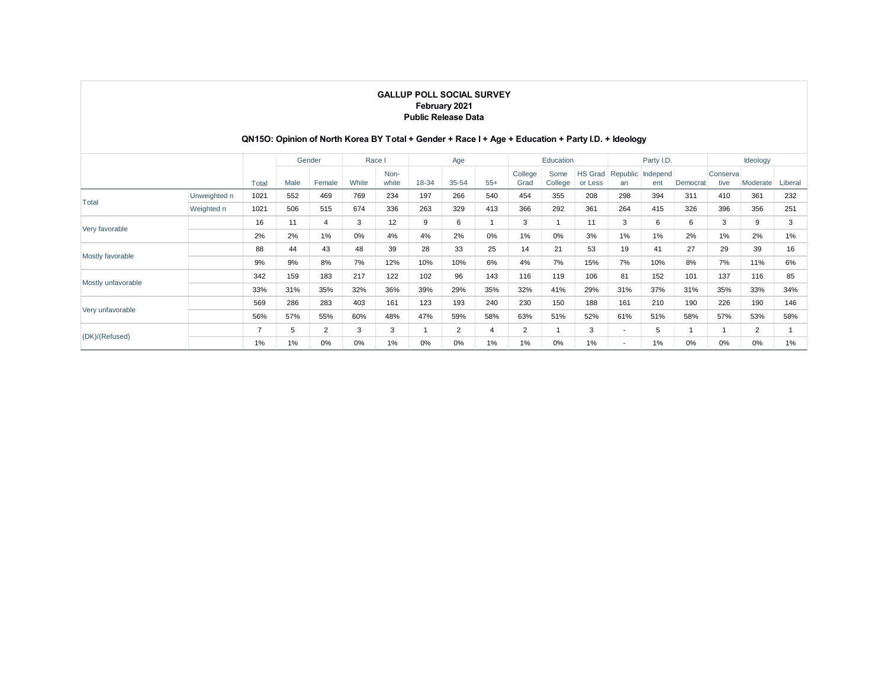## **QN15O: Opinion of North Korea BY Total + Gender + Race I + Age + Education + Party I.D. + Ideology**

|                    |              |                | Gender |        | Race I |               |       | Age            |              | Education       |                 |                           | Party I.D.               |                 |          | Ideology         |          |         |
|--------------------|--------------|----------------|--------|--------|--------|---------------|-------|----------------|--------------|-----------------|-----------------|---------------------------|--------------------------|-----------------|----------|------------------|----------|---------|
|                    |              | Total          | Male   | Female | White  | Non-<br>white | 18-34 | 35-54          | $55+$        | College<br>Grad | Some<br>College | <b>HS Grad</b><br>or Less | Republic<br>an           | Independ<br>ent | Democrat | Conserva<br>tive | Moderate | Liberal |
| Total              | Unweighted n | 1021           | 552    | 469    | 769    | 234           | 197   | 266            | 540          | 454             | 355             | 208                       | 298                      | 394             | 311      | 410              | 361      | 232     |
|                    | Weighted n   | 1021           | 506    | 515    | 674    | 336           | 263   | 329            | 413          | 366             | 292             | 361                       | 264                      | 415             | 326      | 396              | 356      | 251     |
| Very favorable     |              | 16             | 11     | 4      | 3      | 12            | 9     | 6              | $\mathbf{1}$ | 3               |                 | 11                        | 3                        | 6               | 6        | 3                | 9        | 3       |
|                    |              | 2%             | 2%     | 1%     | 0%     | 4%            | 4%    | 2%             | 0%           | 1%              | $0\%$           | 3%                        | 1%                       | 1%              | 2%       | 1%               | 2%       | 1%      |
|                    |              | 88             | 44     | 43     | 48     | 39            | 28    | 33             | 25           | 14              | 21              | 53                        | 19                       | 41              | 27       | 29               | 39       | 16      |
| Mostly favorable   |              | 9%             | 9%     | 8%     | 7%     | 12%           | 10%   | 10%            | 6%           | 4%              | 7%              | 15%                       | 7%                       | 10%             | 8%       | 7%               | 11%      | 6%      |
| Mostly unfavorable |              | 342            | 159    | 183    | 217    | 122           | 102   | 96             | 143          | 116             | 119             | 106                       | 81                       | 152             | 101      | 137              | 116      | 85      |
|                    |              | 33%            | 31%    | 35%    | 32%    | 36%           | 39%   | 29%            | 35%          | 32%             | 41%             | 29%                       | 31%                      | 37%             | 31%      | 35%              | 33%      | 34%     |
|                    |              | 569            | 286    | 283    | 403    | 161           | 123   | 193            | 240          | 230             | 150             | 188                       | 161                      | 210             | 190      | 226              | 190      | 146     |
| Very unfavorable   |              | 56%            | 57%    | 55%    | 60%    | 48%           | 47%   | 59%            | 58%          | 63%             | 51%             | 52%                       | 61%                      | 51%             | 58%      | 57%              | 53%      | 58%     |
|                    |              | $\overline{7}$ | 5      | 2      | 3      | 3             |       | $\overline{2}$ | 4            | $\overline{2}$  |                 | 3                         | ۰                        | 5               |          |                  | 2        |         |
| (DK)/(Refused)     |              | 1%             | 1%     | 0%     | 0%     | 1%            | 0%    | 0%             | 1%           | 1%              | 0%              | 1%                        | $\overline{\phantom{a}}$ | 1%              | 0%       | 0%               | $0\%$    | 1%      |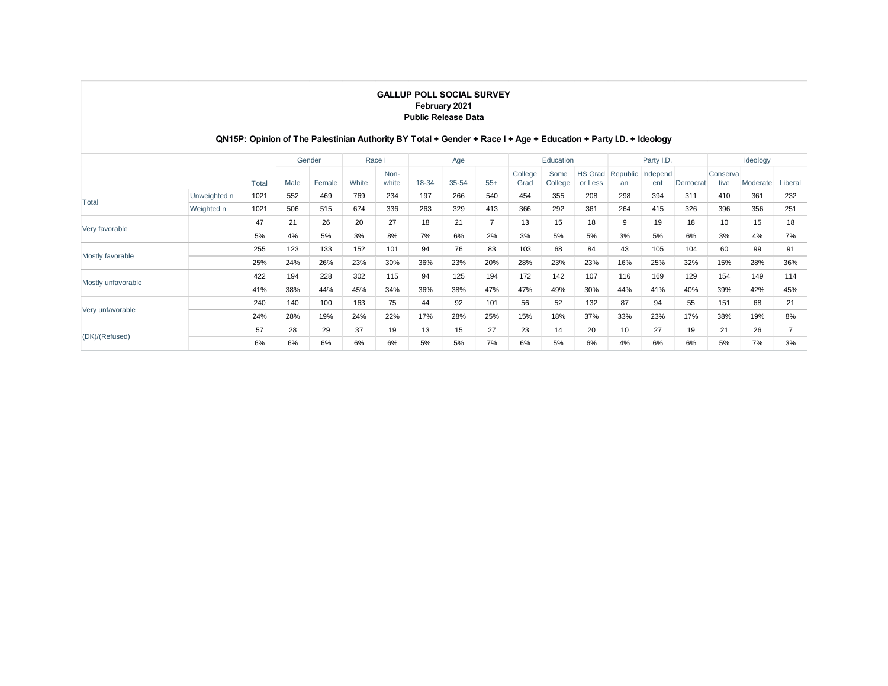## **QN15P: Opinion of The Palestinian Authority BY Total + Gender + Race I + Age + Education + Party I.D. + Ideology**

|                    |              |       |      | Gender | Race I |               |       | Age       |                | Education       |                 |                           | Party I.D.            |                 |          | Ideology          |          |         |
|--------------------|--------------|-------|------|--------|--------|---------------|-------|-----------|----------------|-----------------|-----------------|---------------------------|-----------------------|-----------------|----------|-------------------|----------|---------|
|                    |              | Total | Male | Female | White  | Non-<br>white | 18-34 | $35 - 54$ | $55+$          | College<br>Grad | Some<br>College | <b>HS Grad</b><br>or Less | <b>Republic</b><br>an | Independ<br>ent | Democrat | Conserval<br>tive | Moderate | Liberal |
| Total              | Unweighted n | 1021  | 552  | 469    | 769    | 234           | 197   | 266       | 540            | 454             | 355             | 208                       | 298                   | 394             | 311      | 410               | 361      | 232     |
|                    | Weighted n   | 1021  | 506  | 515    | 674    | 336           | 263   | 329       | 413            | 366             | 292             | 361                       | 264                   | 415             | 326      | 396               | 356      | 251     |
| Very favorable     |              | 47    | 21   | 26     | 20     | 27            | 18    | 21        | $\overline{7}$ | 13              | 15              | 18                        | 9                     | 19              | 18       | 10                | 15       | 18      |
|                    |              | 5%    | 4%   | 5%     | 3%     | 8%            | 7%    | 6%        | 2%             | 3%              | 5%              | 5%                        | 3%                    | 5%              | 6%       | 3%                | 4%       | 7%      |
|                    |              | 255   | 123  | 133    | 152    | 101           | 94    | 76        | 83             | 103             | 68              | 84                        | 43                    | 105             | 104      | 60                | 99       | 91      |
| Mostly favorable   |              | 25%   | 24%  | 26%    | 23%    | 30%           | 36%   | 23%       | 20%            | 28%             | 23%             | 23%                       | 16%                   | 25%             | 32%      | 15%               | 28%      | 36%     |
|                    |              | 422   | 194  | 228    | 302    | 115           | 94    | 125       | 194            | 172             | 142             | 107                       | 116                   | 169             | 129      | 154               | 149      | 114     |
| Mostly unfavorable |              | 41%   | 38%  | 44%    | 45%    | 34%           | 36%   | 38%       | 47%            | 47%             | 49%             | 30%                       | 44%                   | 41%             | 40%      | 39%               | 42%      | 45%     |
|                    |              | 240   | 140  | 100    | 163    | 75            | 44    | 92        | 101            | 56              | 52              | 132                       | 87                    | 94              | 55       | 151               | 68       | 21      |
| Very unfavorable   |              | 24%   | 28%  | 19%    | 24%    | 22%           | 17%   | 28%       | 25%            | 15%             | 18%             | 37%                       | 33%                   | 23%             | 17%      | 38%               | 19%      | 8%      |
|                    |              | 57    | 28   | 29     | 37     | 19            | 13    | 15        | 27             | 23              | 14              | 20                        | 10                    | 27              | 19       | 21                | 26       |         |
| (DK)/(Refused)     |              | 6%    | 6%   | 6%     | 6%     | 6%            | 5%    | 5%        | 7%             | 6%              | 5%              | 6%                        | 4%                    | 6%              | 6%       | 5%                | 7%       | 3%      |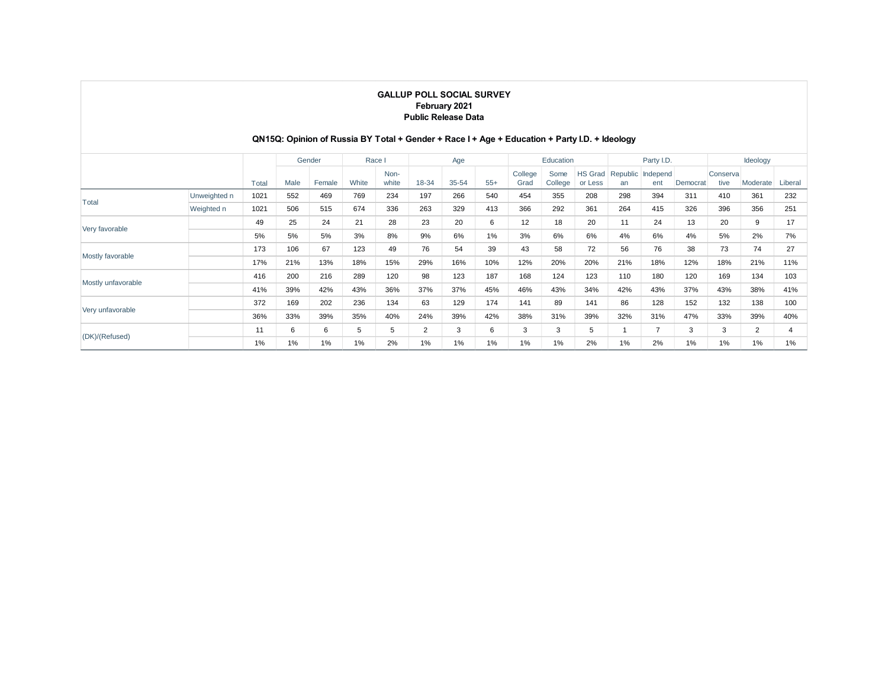## **QN15Q: Opinion of Russia BY Total + Gender + Race I + Age + Education + Party I.D. + Ideology**

|                    |              |       | Gender |        | Race I |               |       | Age   |       |                 | Education       |                           |     | Party I.D.               |          | Ideology          |          |         |
|--------------------|--------------|-------|--------|--------|--------|---------------|-------|-------|-------|-----------------|-----------------|---------------------------|-----|--------------------------|----------|-------------------|----------|---------|
|                    |              | Total | Male   | Female | White  | Non-<br>white | 18-34 | 35-54 | $55+$ | College<br>Grad | Some<br>College | <b>HS Grad</b><br>or Less | an  | Republic Independ<br>ent | Democrat | Conserval<br>tive | Moderate | Liberal |
| Total              | Unweighted n | 1021  | 552    | 469    | 769    | 234           | 197   | 266   | 540   | 454             | 355             | 208                       | 298 | 394                      | 311      | 410               | 361      | 232     |
|                    | Weighted n   | 1021  | 506    | 515    | 674    | 336           | 263   | 329   | 413   | 366             | 292             | 361                       | 264 | 415                      | 326      | 396               | 356      | 251     |
| Very favorable     |              | 49    | 25     | 24     | 21     | 28            | 23    | 20    | 6     | 12              | 18              | 20                        | 11  | 24                       | 13       | 20                | 9        | 17      |
|                    |              | 5%    | 5%     | 5%     | 3%     | 8%            | 9%    | 6%    | 1%    | 3%              | 6%              | 6%                        | 4%  | 6%                       | 4%       | 5%                | 2%       | 7%      |
|                    |              | 173   | 106    | 67     | 123    | 49            | 76    | 54    | 39    | 43              | 58              | 72                        | 56  | 76                       | 38       | 73                | 74       | 27      |
| Mostly favorable   |              | 17%   | 21%    | 13%    | 18%    | 15%           | 29%   | 16%   | 10%   | 12%             | 20%             | 20%                       | 21% | 18%                      | 12%      | 18%               | 21%      | 11%     |
|                    |              | 416   | 200    | 216    | 289    | 120           | 98    | 123   | 187   | 168             | 124             | 123                       | 110 | 180                      | 120      | 169               | 134      | 103     |
| Mostly unfavorable |              | 41%   | 39%    | 42%    | 43%    | 36%           | 37%   | 37%   | 45%   | 46%             | 43%             | 34%                       | 42% | 43%                      | 37%      | 43%               | 38%      | 41%     |
|                    |              | 372   | 169    | 202    | 236    | 134           | 63    | 129   | 174   | 141             | 89              | 141                       | 86  | 128                      | 152      | 132               | 138      | 100     |
| Very unfavorable   |              | 36%   | 33%    | 39%    | 35%    | 40%           | 24%   | 39%   | 42%   | 38%             | 31%             | 39%                       | 32% | 31%                      | 47%      | 33%               | 39%      | 40%     |
|                    |              | 11    | 6      | 6      | 5      | 5             | 2     | 3     | 6     | 3               | 3               | 5                         |     | $\overline{ }$           | 3        | 3                 | 2        |         |
| (DK)/(Refused)     |              | 1%    | 1%     | 1%     | 1%     | 2%            | 1%    | $1\%$ | 1%    | 1%              | $1\%$           | 2%                        | 1%  | 2%                       | 1%       | 1%                | 1%       | 1%      |